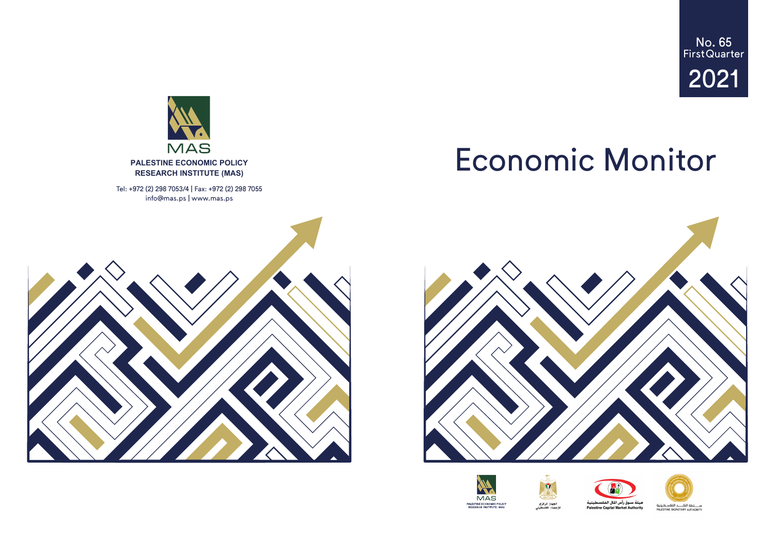# Economic Monitor







No. 65 First Quarter 2021





Tel: +972 (2) 298 7053/4 | Fax: +972 (2) 298 7055 info@mas.ps | www.mas.ps



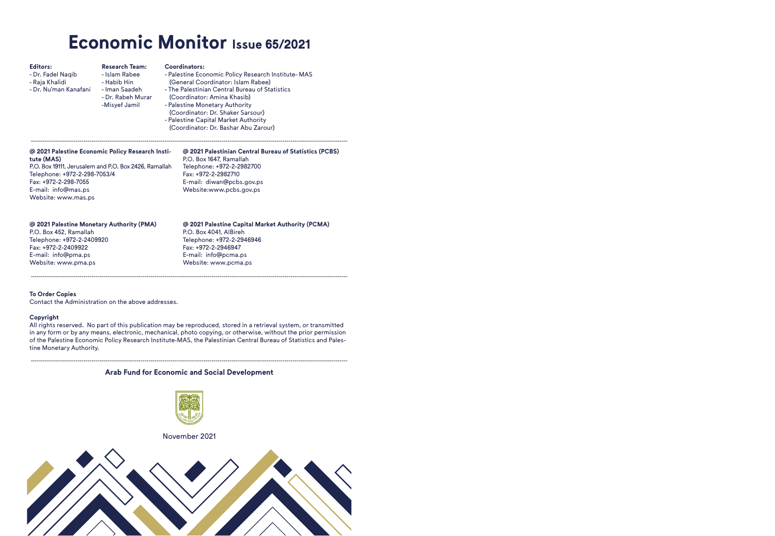## **Economic Monitor Issue 65/2021**

| <b>Editors:</b><br>- Dr. Fadel Naqib<br>- Raja Khalidi<br>- Dr. Nu'man Kanafani                                                                                                                                               | <b>Research Team:</b><br>- Islam Rabee<br>- Habib Hin<br>- Iman Saadeh<br>- Dr. Rabeh Murar<br>-Misyef Jamil | Coordinators:<br>- Palestine Economic Policy Research Institute-MAS<br>(General Coordinator: Islam Rabee)<br>- The Palestinian Central Bureau of Statistics<br>(Coordinator: Amina Khasib)<br>- Palestine Monetary Authority<br>(Coordinator: Dr. Shaker Sarsour)<br>- Palestine Capital Market Authority<br>(Coordinator: Dr. Bashar Abu Zarour) |
|-------------------------------------------------------------------------------------------------------------------------------------------------------------------------------------------------------------------------------|--------------------------------------------------------------------------------------------------------------|---------------------------------------------------------------------------------------------------------------------------------------------------------------------------------------------------------------------------------------------------------------------------------------------------------------------------------------------------|
| @ 2021 Palestine Economic Policy Research Insti-<br>tute (MAS)<br>P.O. Box 19111, Jerusalem and P.O. Box 2426, Ramallah<br>Telephone: +972-2-298-7053/4<br>Fax: +972-2-298-7055<br>E-mail: info@mas.ps<br>Website: www.mas.ps |                                                                                                              | @ 2021 Palestinian Central Bureau of Statistics (PCBS)<br>P.O. Box 1647, Ramallah<br>Telephone: +972-2-2982700<br>Fax: +972-2-2982710<br>E-mail: diwan@pcbs.gov.ps<br>Website:www.pcbs.gov.ps                                                                                                                                                     |
| @ 2021 Palestine Monetary Authority (PMA)<br>P.O. Box 452, Ramallah<br>Telephone: +972-2-2409920<br>Fax: +972-2-2409922<br>E-mail: info@pma.ps<br>Website: www.pma.ps                                                         |                                                                                                              | @ 2021 Palestine Capital Market Authority (PCMA)<br>P.O. Box 4041, AlBireh<br>Telephone: +972-2-2946946<br>Fax: +972-2-2946947<br>E-mail: info@pcma.ps<br>Website: www.pcma.ps                                                                                                                                                                    |

#### **To Order Copies**

Contact the Administration on the above addresses.

#### **Copyright**

All rights reserved. No part of this publication may be reproduced, stored in a retrieval system, or transmitted in any form or by any means, electronic, mechanical, photo copying, or otherwise, without the prior permission of the Palestine Economic Policy Research Institute-MAS, the Palestinian Central Bureau of Statistics and Palestine Monetary Authority.

#### ------------------------------------------------------------------------------------------------------------------------------------------------------------ **Arab Fund for Economic and Social Development**



#### November 2021

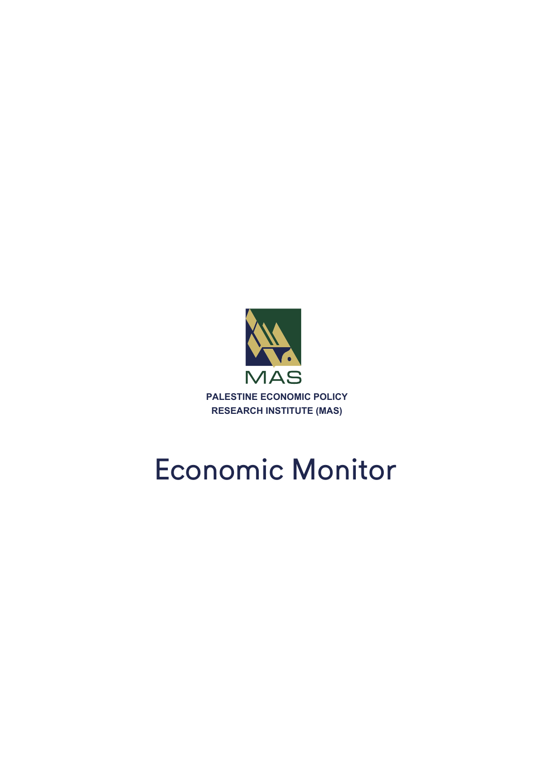

## Economic Monitor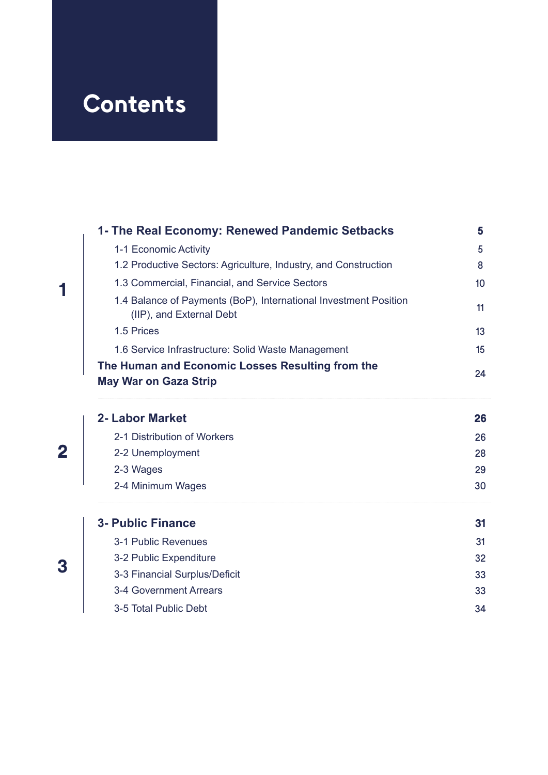## **Contents**

| 1- The Real Economy: Renewed Pandemic Setbacks                                                                    | 5  |  |  |  |  |  |  |
|-------------------------------------------------------------------------------------------------------------------|----|--|--|--|--|--|--|
| 1-1 Economic Activity                                                                                             |    |  |  |  |  |  |  |
| 1.2 Productive Sectors: Agriculture, Industry, and Construction<br>1.3 Commercial, Financial, and Service Sectors |    |  |  |  |  |  |  |
|                                                                                                                   |    |  |  |  |  |  |  |
| 1.5 Prices                                                                                                        | 13 |  |  |  |  |  |  |
| 1.6 Service Infrastructure: Solid Waste Management                                                                | 15 |  |  |  |  |  |  |
| The Human and Economic Losses Resulting from the                                                                  | 24 |  |  |  |  |  |  |
| <b>May War on Gaza Strip</b>                                                                                      |    |  |  |  |  |  |  |
| 2- Labor Market                                                                                                   | 26 |  |  |  |  |  |  |
| 2-1 Distribution of Workers                                                                                       | 26 |  |  |  |  |  |  |
| 2-2 Unemployment                                                                                                  | 28 |  |  |  |  |  |  |
| 2-3 Wages                                                                                                         | 29 |  |  |  |  |  |  |
| 2-4 Minimum Wages                                                                                                 | 30 |  |  |  |  |  |  |
| <b>3- Public Finance</b>                                                                                          | 31 |  |  |  |  |  |  |
| 3-1 Public Revenues                                                                                               | 31 |  |  |  |  |  |  |
| 3-2 Public Expenditure                                                                                            | 32 |  |  |  |  |  |  |
| 3-3 Financial Surplus/Deficit                                                                                     |    |  |  |  |  |  |  |
| 3-4 Government Arrears                                                                                            | 33 |  |  |  |  |  |  |
| 3-5 Total Public Debt                                                                                             | 34 |  |  |  |  |  |  |

**3**

**2**

**1**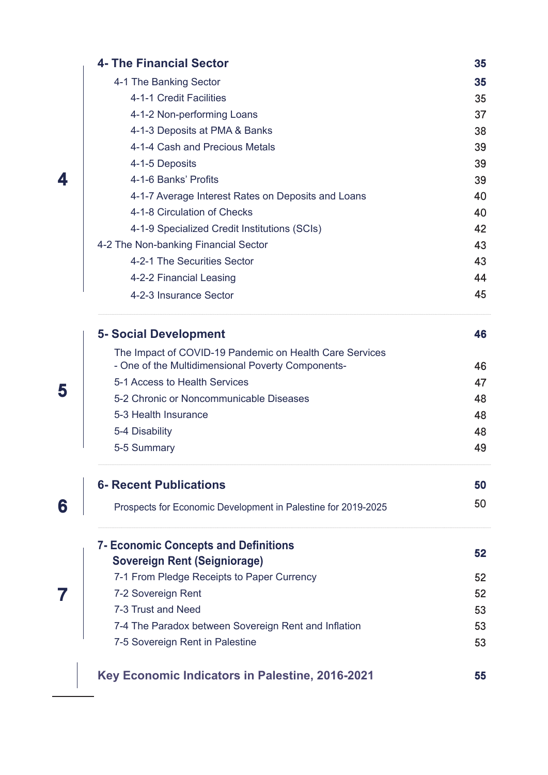|   | <b>4- The Financial Sector</b>                                | 35 |
|---|---------------------------------------------------------------|----|
|   | 4-1 The Banking Sector                                        | 35 |
|   | 4-1-1 Credit Facilities                                       | 35 |
|   | 4-1-2 Non-performing Loans                                    | 37 |
|   | 4-1-3 Deposits at PMA & Banks                                 | 38 |
|   | 4-1-4 Cash and Precious Metals                                | 39 |
|   | 4-1-5 Deposits                                                | 39 |
| 4 | 4-1-6 Banks' Profits                                          | 39 |
|   | 4-1-7 Average Interest Rates on Deposits and Loans            | 40 |
|   | 4-1-8 Circulation of Checks                                   | 40 |
|   | 4-1-9 Specialized Credit Institutions (SCIs)                  | 42 |
|   | 4-2 The Non-banking Financial Sector                          | 43 |
|   | 4-2-1 The Securities Sector                                   | 43 |
|   | 4-2-2 Financial Leasing                                       | 44 |
|   | 4-2-3 Insurance Sector                                        | 45 |
|   | <b>5- Social Development</b>                                  | 46 |
|   | The Impact of COVID-19 Pandemic on Health Care Services       |    |
|   | - One of the Multidimensional Poverty Components-             | 46 |
| 5 | 5-1 Access to Health Services                                 | 47 |
|   | 5-2 Chronic or Noncommunicable Diseases                       | 48 |
|   | 5-3 Health Insurance                                          | 48 |
|   | 5-4 Disability                                                | 48 |
|   | 5-5 Summary                                                   | 49 |
|   | <b>6- Recent Publications</b>                                 | 50 |
| 6 | Prospects for Economic Development in Palestine for 2019-2025 | 50 |
|   | <b>7- Economic Concepts and Definitions</b>                   |    |
|   | <b>Sovereign Rent (Seigniorage)</b>                           | 52 |
|   | 7-1 From Pledge Receipts to Paper Currency                    | 52 |
|   | 7-2 Sovereign Rent                                            | 52 |
|   | 7-3 Trust and Need                                            | 53 |
|   | 7-4 The Paradox between Sovereign Rent and Inflation          | 53 |
|   | 7-5 Sovereign Rent in Palestine                               | 53 |
|   | Key Economic Indicators in Palestine, 2016-2021               | 55 |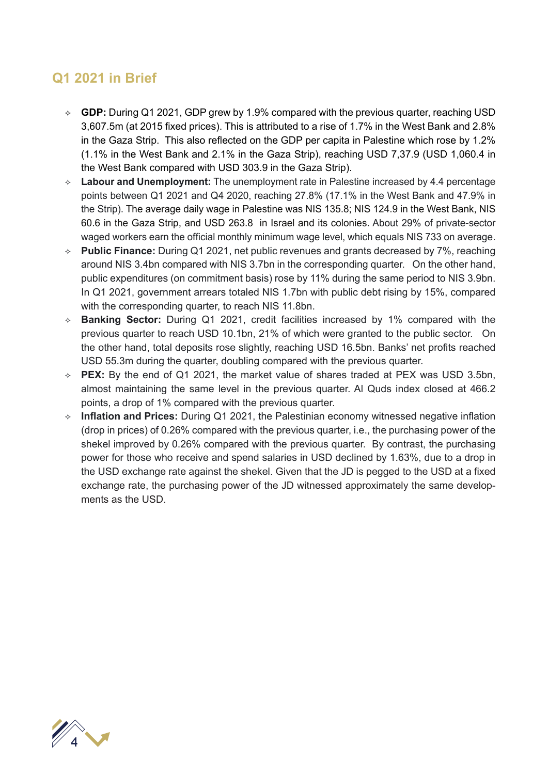### **Q1 2021 in Brief**

- **GDP:** During Q1 2021, GDP grew by 1.9% compared with the previous quarter, reaching USD 3,607.5m (at 2015 fixed prices). This is attributed to a rise of 1.7% in the West Bank and 2.8% in the Gaza Strip. This also reflected on the GDP per capita in Palestine which rose by 1.2% (1.1% in the West Bank and 2.1% in the Gaza Strip), reaching USD 7,37.9 (USD 1,060.4 in the West Bank compared with USD 303.9 in the Gaza Strip).
- **Labour and Unemployment:** The unemployment rate in Palestine increased by 4.4 percentage points between Q1 2021 and Q4 2020, reaching 27.8% (17.1% in the West Bank and 47.9% in the Strip). The average daily wage in Palestine was NIS 135.8; NIS 124.9 in the West Bank, NIS 60.6 in the Gaza Strip, and USD 263.8 in Israel and its colonies. About 29% of private-sector waged workers earn the official monthly minimum wage level, which equals NIS 733 on average.
- **Public Finance:** During Q1 2021, net public revenues and grants decreased by 7%, reaching around NIS 3.4bn compared with NIS 3.7bn in the corresponding quarter. On the other hand, public expenditures (on commitment basis) rose by 11% during the same period to NIS 3.9bn. In Q1 2021, government arrears totaled NIS 1.7bn with public debt rising by 15%, compared with the corresponding quarter, to reach NIS 11.8bn.
- **Banking Sector:** During Q1 2021, credit facilities increased by 1% compared with the previous quarter to reach USD 10.1bn, 21% of which were granted to the public sector. On the other hand, total deposits rose slightly, reaching USD 16.5bn. Banks' net profits reached USD 55.3m during the quarter, doubling compared with the previous quarter.
- **PEX:** By the end of Q1 2021, the market value of shares traded at PEX was USD 3.5bn, almost maintaining the same level in the previous quarter. Al Quds index closed at 466.2 points, a drop of 1% compared with the previous quarter.
- **Inflation and Prices:** During Q1 2021, the Palestinian economy witnessed negative inflation (drop in prices) of 0.26% compared with the previous quarter, i.e., the purchasing power of the shekel improved by 0.26% compared with the previous quarter. By contrast, the purchasing power for those who receive and spend salaries in USD declined by 1.63%, due to a drop in the USD exchange rate against the shekel. Given that the JD is pegged to the USD at a fixed exchange rate, the purchasing power of the JD witnessed approximately the same developments as the USD.

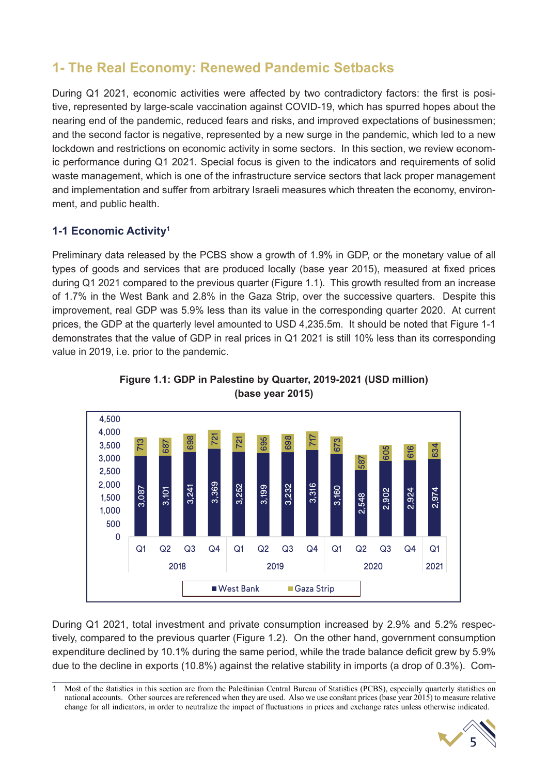## **1- The Real Economy: Renewed Pandemic Setbacks**

During Q1 2021, economic activities were affected by two contradictory factors: the first is positive, represented by large-scale vaccination against COVID-19, which has spurred hopes about the nearing end of the pandemic, reduced fears and risks, and improved expectations of businessmen; and the second factor is negative, represented by a new surge in the pandemic, which led to a new lockdown and restrictions on economic activity in some sectors. In this section, we review economic performance during Q1 2021. Special focus is given to the indicators and requirements of solid waste management, which is one of the infrastructure service sectors that lack proper management and implementation and suffer from arbitrary Israeli measures which threaten the economy, environment, and public health.

#### **1-1 Economic Activity1**

Preliminary data released by the PCBS show a growth of 1.9% in GDP, or the monetary value of all types of goods and services that are produced locally (base year 2015), measured at fixed prices during Q1 2021 compared to the previous quarter (Figure 1.1). This growth resulted from an increase of 1.7% in the West Bank and 2.8% in the Gaza Strip, over the successive quarters. Despite this improvement, real GDP was 5.9% less than its value in the corresponding quarter 2020. At current prices, the GDP at the quarterly level amounted to USD 4,235.5m. It should be noted that Figure 1-1 demonstrates that the value of GDP in real prices in Q1 2021 is still 10% less than its corresponding value in 2019, i.e. prior to the pandemic.





During Q1 2021, total investment and private consumption increased by 2.9% and 5.2% respectively, compared to the previous quarter (Figure 1.2). On the other hand, government consumption expenditure declined by 10.1% during the same period, while the trade balance deficit grew by 5.9% due to the decline in exports (10.8%) against the relative stability in imports (a drop of 0.3%). Com-

<sup>1</sup> Most of the statistics in this section are from the Palestinian Central Bureau of Statistics (PCBS), especially quarterly statistics on national accounts. Other sources are referenced when they are used. Also we use constant prices (base year 2015) to measure relative

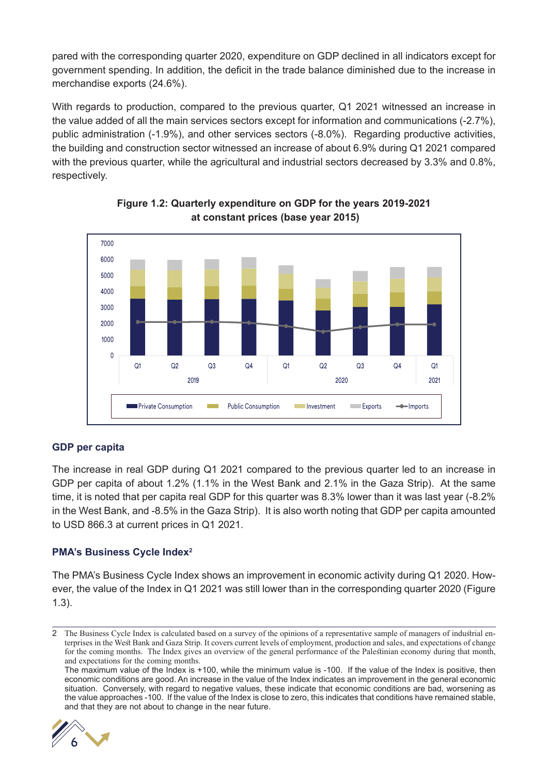pared with the corresponding quarter 2020, expenditure on GDP declined in all indicators except for government spending. In addition, the deficit in the trade balance diminished due to the increase in merchandise exports (24.6%).

With regards to production, compared to the previous quarter, Q1 2021 witnessed an increase in the value added of all the main services sectors except for information and communications (-2.7%), public administration (-1.9%), and other services sectors (-8.0%). Regarding productive activities, the building and construction sector witnessed an increase of about 6.9% during Q1 2021 compared with the previous quarter, while the agricultural and industrial sectors decreased by 3.3% and 0.8%, respectively.



**Figure 1.2: Quarterly expenditure on GDP for the years 2019-2021 at constant prices (base year 2015)**

#### **GDP per capita**

The increase in real GDP during Q1 2021 compared to the previous quarter led to an increase in GDP per capita of about 1.2% (1.1% in the West Bank and 2.1% in the Gaza Strip). At the same time, it is noted that per capita real GDP for this quarter was 8.3% lower than it was last year (-8.2% in the West Bank, and -8.5% in the Gaza Strip). It is also worth noting that GDP per capita amounted to USD 866.3 at current prices in Q1 2021.

#### **PMA's Business Cycle Index2**

The PMA's Business Cycle Index shows an improvement in economic activity during Q1 2020. However, the value of the Index in Q1 2021 was still lower than in the corresponding quarter 2020 (Figure 1.3).

The maximum value of the Index is +100, while the minimum value is -100. If the value of the Index is positive, then economic conditions are good. An increase in the value of the Index indicates an improvement in the general economic situation. Conversely, with regard to negative values, these indicate that economic conditions are bad, worsening as the value approaches -100. If the value of the Index is close to zero, this indicates that conditions have remained stable, and that they are not about to change in the near future.



<sup>2</sup> The Business Cycle Index is calculated based on a survey of the opinions of a representative sample of managers of industrial enterprises in the West Bank and Gaza Strip. It covers current levels of employment, production and sales, and expectations of change for the coming months. The Index gives an overview of the general performance of the Palestinian economy during that month, and expectations for the coming months.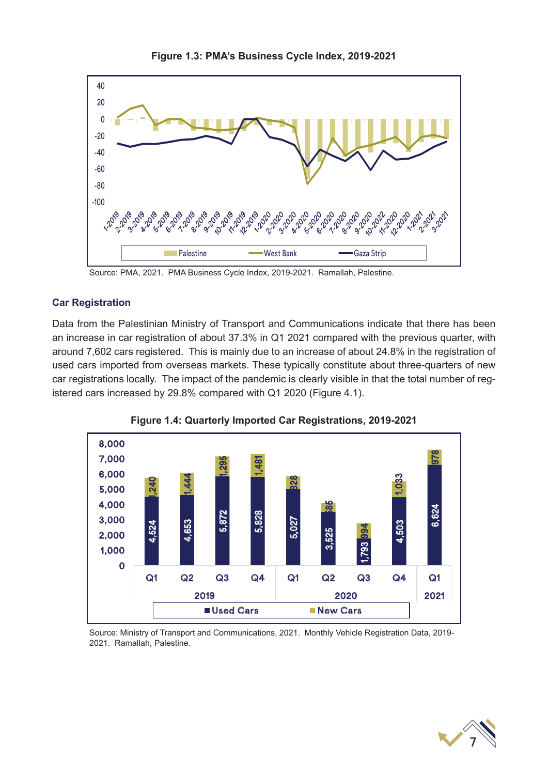

**Figure 1.3: PMA's Business Cycle Index, 2019-2021**

Source: PMA, 2021. PMA Business Cycle Index, 2019-2021. Ramallah, Palestine.

#### **Car Registration**

Data from the Palestinian Ministry of Transport and Communications indicate that there has been an increase in car registration of about 37.3% in Q1 2021 compared with the previous quarter, with around 7,602 cars registered. This is mainly due to an increase of about 24.8% in the registration of used cars imported from overseas markets. These typically constitute about three-quarters of new car registrations locally. The impact of the pandemic is clearly visible in that the total number of registered cars increased by 29.8% compared with Q1 2020 (Figure 4.1).





Source: Ministry of Transport and Communications, 2021. Monthly Vehicle Registration Data, 2019- 2021. Ramallah, Palestine.

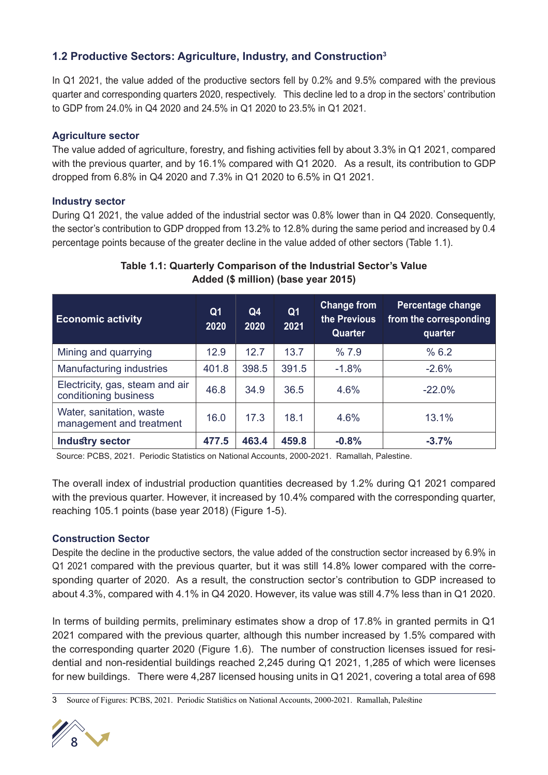#### **1.2 Productive Sectors: Agriculture, Industry, and Construction3**

In Q1 2021, the value added of the productive sectors fell by 0.2% and 9.5% compared with the previous quarter and corresponding quarters 2020, respectively. This decline led to a drop in the sectors' contribution to GDP from 24.0% in Q4 2020 and 24.5% in Q1 2020 to 23.5% in Q1 2021.

#### **Agriculture sector**

The value added of agriculture, forestry, and fishing activities fell by about 3.3% in Q1 2021, compared with the previous quarter, and by 16.1% compared with Q1 2020. As a result, its contribution to GDP dropped from 6.8% in Q4 2020 and 7.3% in Q1 2020 to 6.5% in Q1 2021.

#### **Industry sector**

During Q1 2021, the value added of the industrial sector was 0.8% lower than in Q4 2020. Consequently, the sector's contribution to GDP dropped from 13.2% to 12.8% during the same period and increased by 0.4 percentage points because of the greater decline in the value added of other sectors (Table 1.1).

| <b>Economic activity</b>                                 | Q <sub>1</sub><br>2020 | Q <sub>4</sub><br>2020 | Q <sub>1</sub><br>2021 | <b>Change from</b><br>the Previous<br>Quarter | Percentage change<br>from the corresponding<br>quarter |
|----------------------------------------------------------|------------------------|------------------------|------------------------|-----------------------------------------------|--------------------------------------------------------|
| Mining and quarrying                                     | 12.9                   | 12.7                   | 13.7                   | %7.9                                          | % 6.2                                                  |
| Manufacturing industries                                 | 401.8                  | 398.5                  | 391.5                  | $-1.8%$                                       | $-2.6%$                                                |
| Electricity, gas, steam and air<br>conditioning business | 46.8                   | 34.9                   | 36.5                   | 4.6%                                          | $-22.0%$                                               |
| Water, sanitation, waste<br>management and treatment     | 16.0                   | 17.3                   | 18.1                   | 4.6%                                          | 13.1%                                                  |
| <b>Industry sector</b>                                   | 477.5                  | 463.4                  | 459.8                  | $-0.8%$                                       | $-3.7%$                                                |

#### **Table 1.1: Quarterly Comparison of the Industrial Sector's Value Added (\$ million) (base year 2015)**

Source: PCBS, 2021. Periodic Statistics on National Accounts, 2000-2021. Ramallah, Palestine.

The overall index of industrial production quantities decreased by 1.2% during Q1 2021 compared with the previous quarter. However, it increased by 10.4% compared with the corresponding quarter, reaching 105.1 points (base year 2018) (Figure 1-5).

#### **Construction Sector**

Despite the decline in the productive sectors, the value added of the construction sector increased by 6.9% in Q1 2021 compared with the previous quarter, but it was still 14.8% lower compared with the corresponding quarter of 2020. As a result, the construction sector's contribution to GDP increased to about 4.3%, compared with 4.1% in Q4 2020. However, its value was still 4.7% less than in Q1 2020.

In terms of building permits, preliminary estimates show a drop of 17.8% in granted permits in Q1 2021 compared with the previous quarter, although this number increased by 1.5% compared with the corresponding quarter 2020 (Figure 1.6). The number of construction licenses issued for residential and non-residential buildings reached 2,245 during Q1 2021, 1,285 of which were licenses for new buildings. There were 4,287 licensed housing units in Q1 2021, covering a total area of 698

<sup>3</sup> Source of Figures: PCBS, 2021. Periodic Statistics on National Accounts, 2000-2021. Ramallah, Palestine

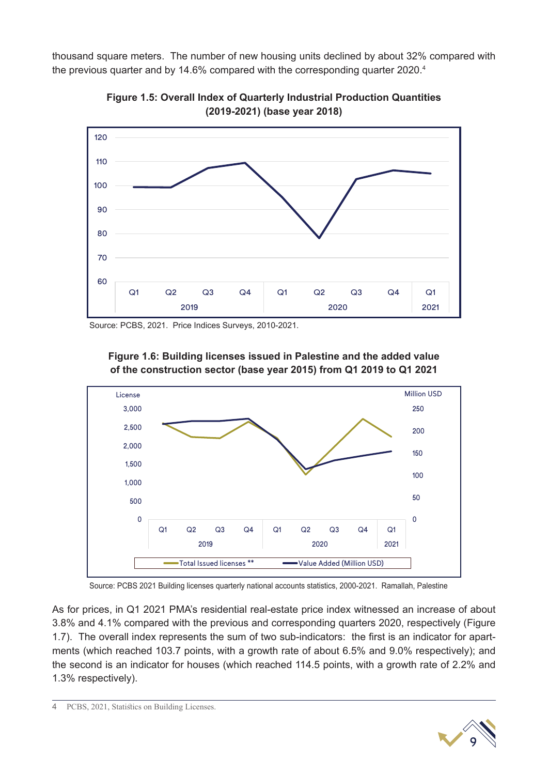thousand square meters. The number of new housing units declined by about 32% compared with the previous quarter and by 14.6% compared with the corresponding quarter 2020.<sup>4</sup>



**Figure 1.5: Overall Index of Quarterly Industrial Production Quantities (2019-2021) (base year 2018)**

Source: PCBS, 2021. Price Indices Surveys, 2010-2021.





Source: PCBS 2021 Building licenses quarterly national accounts statistics, 2000-2021. Ramallah, Palestine

As for prices, in Q1 2021 PMA's residential real-estate price index witnessed an increase of about 3.8% and 4.1% compared with the previous and corresponding quarters 2020, respectively (Figure 1.7). The overall index represents the sum of two sub-indicators: the first is an indicator for apartments (which reached 103.7 points, with a growth rate of about 6.5% and 9.0% respectively); and the second is an indicator for houses (which reached 114.5 points, with a growth rate of 2.2% and 1.3% respectively).

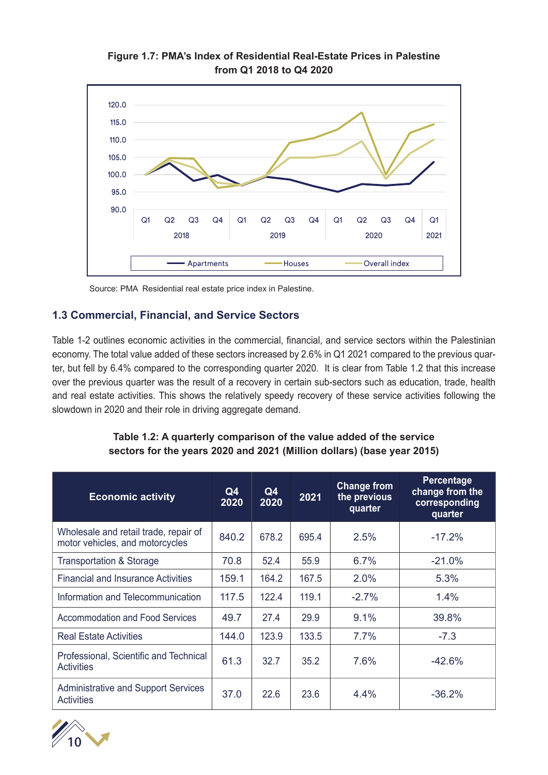

**Figure 1.7: PMA's Index of Residential Real-Estate Prices in Palestine from Q1 2018 to Q4 2020**

Source: PMA Residential real estate price index in Palestine.

#### **1.3 Commercial, Financial, and Service Sectors**

Table 1-2 outlines economic activities in the commercial, financial, and service sectors within the Palestinian economy. The total value added of these sectors increased by 2.6% in Q1 2021 compared to the previous quarter, but fell by 6.4% compared to the corresponding quarter 2020. It is clear from Table 1.2 that this increase over the previous quarter was the result of a recovery in certain sub-sectors such as education, trade, health and real estate activities. This shows the relatively speedy recovery of these service activities following the slowdown in 2020 and their role in driving aggregate demand.

#### **Table 1.2: A quarterly comparison of the value added of the service sectors for the years 2020 and 2021 (Million dollars) (base year 2015)**

| <b>Economic activity</b>                                                 | Q4<br>2020 | Q4<br>2020 | 2021  | <b>Change from</b><br>the previous<br>quarter | Percentage<br>change from the<br>corresponding<br>quarter |
|--------------------------------------------------------------------------|------------|------------|-------|-----------------------------------------------|-----------------------------------------------------------|
| Wholesale and retail trade, repair of<br>motor vehicles, and motorcycles | 840.2      | 678.2      | 695.4 | 2.5%                                          | $-17.2%$                                                  |
| <b>Transportation &amp; Storage</b>                                      | 70.8       | 52.4       | 55.9  | 6.7%                                          | $-21.0%$                                                  |
| <b>Financial and Insurance Activities</b>                                | 159.1      | 164.2      | 167.5 | 2.0%                                          | 5.3%                                                      |
| Information and Telecommunication                                        | 117.5      | 122.4      | 119.1 | $-2.7%$                                       | 1.4%                                                      |
| <b>Accommodation and Food Services</b>                                   | 49.7       | 27.4       | 29.9  | 9.1%                                          | 39.8%                                                     |
| <b>Real Estate Activities</b>                                            | 144.0      | 123.9      | 133.5 | 7.7%                                          | $-7.3$                                                    |
| Professional, Scientific and Technical<br><b>Activities</b>              | 61.3       | 32.7       | 35.2  | 7.6%                                          | $-42.6%$                                                  |
| <b>Administrative and Support Services</b><br><b>Activities</b>          | 37.0       | 22.6       | 23.6  | 4.4%                                          | $-36.2%$                                                  |

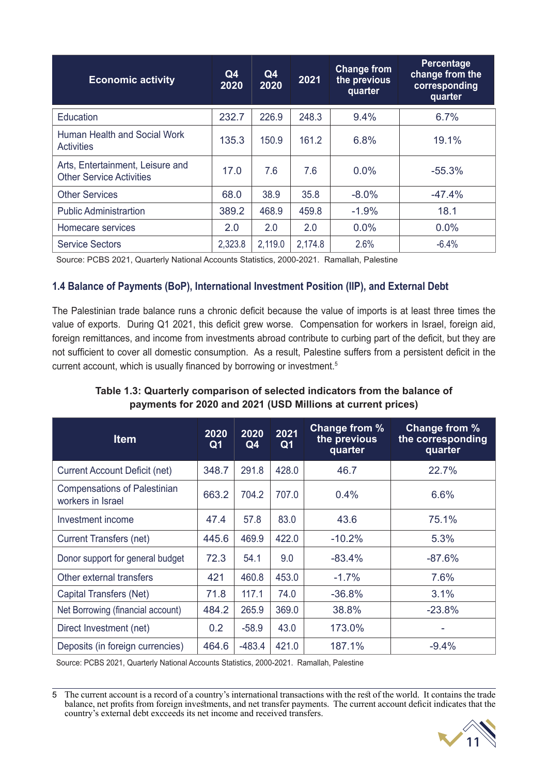| <b>Economic activity</b>                                            | Q <sub>4</sub><br>2020 | Q4<br>2020 | 2021    | <b>Change from</b><br>the previous<br>quarter | Percentage<br>change from the<br>corresponding<br>quarter |
|---------------------------------------------------------------------|------------------------|------------|---------|-----------------------------------------------|-----------------------------------------------------------|
| Education                                                           | 232.7                  | 226.9      | 248.3   | 9.4%                                          | 6.7%                                                      |
| Human Health and Social Work<br><b>Activities</b>                   | 135.3                  | 150.9      | 161.2   | 6.8%                                          | 19.1%                                                     |
| Arts, Entertainment, Leisure and<br><b>Other Service Activities</b> | 17.0                   | 7.6        | 7.6     | $0.0\%$                                       | $-55.3%$                                                  |
| <b>Other Services</b>                                               | 68.0                   | 38.9       | 35.8    | $-8.0%$                                       | $-47.4%$                                                  |
| <b>Public Administrartion</b>                                       | 389.2                  | 468.9      | 459.8   | $-1.9%$                                       | 18.1                                                      |
| Homecare services                                                   | 2.0                    | 2.0        | 2.0     | $0.0\%$                                       | 0.0%                                                      |
| <b>Service Sectors</b>                                              | 2,323.8                | 2,119.0    | 2,174.8 | 2.6%                                          | $-6.4%$                                                   |

Source: PCBS 2021, Quarterly National Accounts Statistics, 2000-2021. Ramallah, Palestine

#### **1.4 Balance of Payments (BoP), International Investment Position (IIP), and External Debt**

The Palestinian trade balance runs a chronic deficit because the value of imports is at least three times the value of exports. During Q1 2021, this deficit grew worse. Compensation for workers in Israel, foreign aid, foreign remittances, and income from investments abroad contribute to curbing part of the deficit, but they are not sufficient to cover all domestic consumption. As a result, Palestine suffers from a persistent deficit in the current account, which is usually financed by borrowing or investment.<sup>5</sup>

#### **Table 1.3: Quarterly comparison of selected indicators from the balance of payments for 2020 and 2021 (USD Millions at current prices)**

| <b>Item</b>                                              | 2020<br>Q <sub>1</sub> | 2020<br>Q4 | 2021<br>Q <sub>1</sub> | Change from %<br>the previous<br>quarter | Change from %<br>the corresponding<br>quarter |
|----------------------------------------------------------|------------------------|------------|------------------------|------------------------------------------|-----------------------------------------------|
| <b>Current Account Deficit (net)</b>                     | 348.7                  | 291.8      | 428.0                  | 46.7                                     | 22.7%                                         |
| <b>Compensations of Palestinian</b><br>workers in Israel | 663.2                  | 704.2      | 707.0                  | 0.4%                                     | 6.6%                                          |
| Investment income                                        | 47.4                   | 57.8       | 83.0                   | 43.6                                     | 75.1%                                         |
| <b>Current Transfers (net)</b>                           | 445.6                  | 469.9      | 422.0                  | $-10.2%$                                 | 5.3%                                          |
| Donor support for general budget                         | 72.3                   | 54.1       | 9.0                    | $-83.4%$                                 | $-87.6%$                                      |
| Other external transfers                                 | 421                    | 460.8      | 453.0                  | $-1.7%$                                  | 7.6%                                          |
| Capital Transfers (Net)                                  | 71.8                   | 117.1      | 74.0                   | $-36.8%$                                 | 3.1%                                          |
| Net Borrowing (financial account)                        | 484.2                  | 265.9      | 369.0                  | 38.8%                                    | $-23.8%$                                      |
| Direct Investment (net)                                  | 0.2                    | $-58.9$    | 43.0                   | 173.0%                                   |                                               |
| Deposits (in foreign currencies)                         | 464.6                  | $-483.4$   | 421.0                  | 187.1%                                   | $-9.4%$                                       |

Source: PCBS 2021, Quarterly National Accounts Statistics, 2000-2021. Ramallah, Palestine

5 The current account is a record of a country's international transactions with the rest of the world. It contains the trade balance, net profits from foreign investments, and net transfer payments. The current account deficit indicates that the country's external debt excceeds its net income and received transfers.

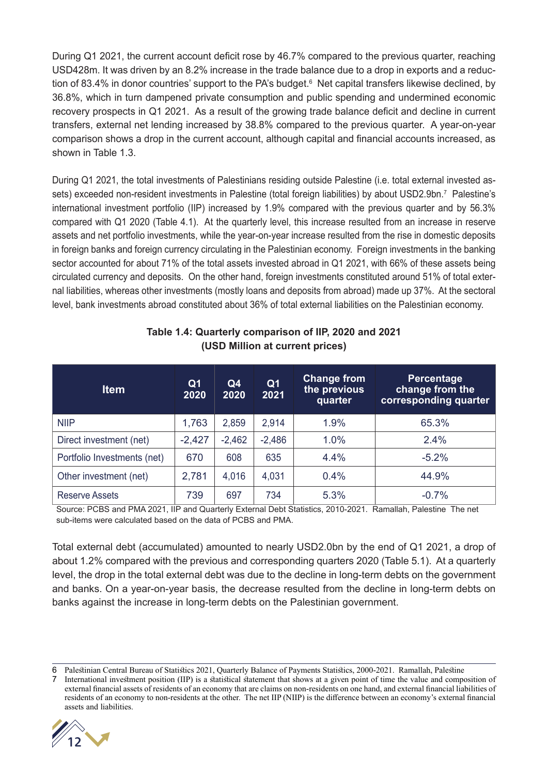During Q1 2021, the current account deficit rose by 46.7% compared to the previous quarter, reaching USD428m. It was driven by an 8.2% increase in the trade balance due to a drop in exports and a reduction of 83.4% in donor countries' support to the PA's budget.<sup>6</sup> Net capital transfers likewise declined, by 36.8%, which in turn dampened private consumption and public spending and undermined economic recovery prospects in Q1 2021. As a result of the growing trade balance deficit and decline in current transfers, external net lending increased by 38.8% compared to the previous quarter. A year-on-year comparison shows a drop in the current account, although capital and financial accounts increased, as shown in Table 1.3.

During Q1 2021, the total investments of Palestinians residing outside Palestine (i.e. total external invested assets) exceeded non-resident investments in Palestine (total foreign liabilities) by about USD2.9bn.7 Palestine's international investment portfolio (IIP) increased by 1.9% compared with the previous quarter and by 56.3% compared with Q1 2020 (Table 4.1). At the quarterly level, this increase resulted from an increase in reserve assets and net portfolio investments, while the year-on-year increase resulted from the rise in domestic deposits in foreign banks and foreign currency circulating in the Palestinian economy. Foreign investments in the banking sector accounted for about 71% of the total assets invested abroad in Q1 2021, with 66% of these assets being circulated currency and deposits. On the other hand, foreign investments constituted around 51% of total external liabilities, whereas other investments (mostly loans and deposits from abroad) made up 37%. At the sectoral level, bank investments abroad constituted about 36% of total external liabilities on the Palestinian economy.

| <b>Item</b>                 | Q <sub>1</sub><br>2020 | Q <sub>4</sub><br>2020 | Q <sub>1</sub><br>2021 | <b>Change from</b><br>the previous<br>quarter | <b>Percentage</b><br>change from the<br>corresponding quarter |
|-----------------------------|------------------------|------------------------|------------------------|-----------------------------------------------|---------------------------------------------------------------|
| <b>NIIP</b>                 | 1,763                  | 2,859                  | 2,914                  | 1.9%                                          | 65.3%                                                         |
| Direct investment (net)     | $-2,427$               | $-2,462$               | $-2,486$               | 1.0%                                          | 2.4%                                                          |
| Portfolio Investments (net) | 670                    | 608                    | 635                    | 4.4%                                          | $-5.2%$                                                       |
| Other investment (net)      | 2,781                  | 4,016                  | 4,031                  | $0.4\%$                                       | 44.9%                                                         |
| Reserve Assets              | 739                    | 697                    | 734                    | 5.3%                                          | $-0.7%$                                                       |

#### **Table 1.4: Quarterly comparison of IIP, 2020 and 2021 (USD Million at current prices)**

Source: PCBS and PMA 2021, IIP and Quarterly External Debt Statistics, 2010-2021. Ramallah, Palestine The net sub-items were calculated based on the data of PCBS and PMA.

Total external debt (accumulated) amounted to nearly USD2.0bn by the end of Q1 2021, a drop of about 1.2% compared with the previous and corresponding quarters 2020 (Table 5.1). At a quarterly level, the drop in the total external debt was due to the decline in long-term debts on the government and banks. On a year-on-year basis, the decrease resulted from the decline in long-term debts on banks against the increase in long-term debts on the Palestinian government.

<sup>7</sup> International investment position (IIP) is a statistical statement that shows at a given point of time the value and composition of external financial assets of residents of an economy that are claims on non-residents on one hand, and external financial liabilities of residents of an economy to non-residents at the other. The net IIP (NIIP) is the difference between an economy's external financial assets and liabilities.



<sup>6</sup> Palestinian Central Bureau of Statistics 2021, Quarterly Balance of Payments Statistics, 2000-2021. Ramallah, Palestine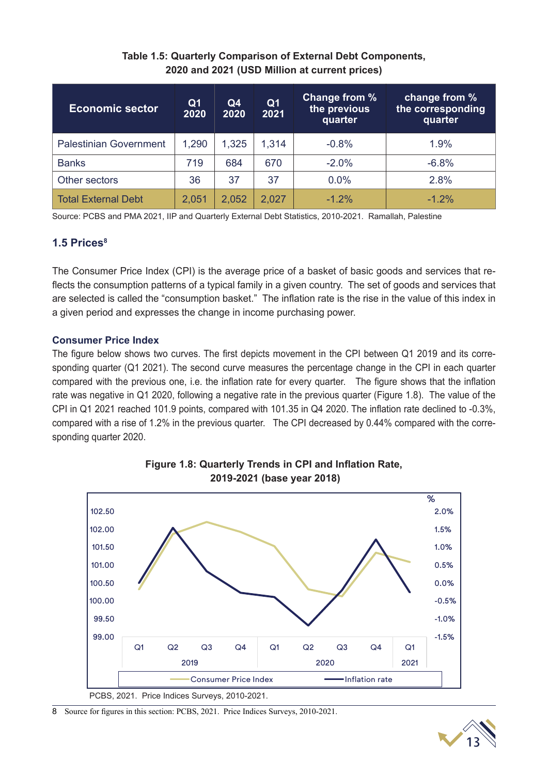#### **Table 1.5: Quarterly Comparison of External Debt Components, 2020 and 2021 (USD Million at current prices)**

| <b>Economic sector</b>        | Q <sub>1</sub><br>2020 | Q4<br>2020 | Q <sub>1</sub><br>2021 | Change from %<br>the previous<br>quarter | change from %<br>the corresponding<br>quarter |
|-------------------------------|------------------------|------------|------------------------|------------------------------------------|-----------------------------------------------|
| <b>Palestinian Government</b> | 1,290                  | 1,325      | 1,314                  | $-0.8%$                                  | $1.9\%$                                       |
| <b>Banks</b>                  | 719                    | 684        | 670                    | $-2.0%$                                  | $-6.8%$                                       |
| Other sectors                 | 36                     | 37         | 37                     | 0.0%                                     | 2.8%                                          |
| <b>Total External Debt</b>    | 2,051                  | 2,052      | 2,027                  | $-1.2\%$                                 | $-1.2\%$                                      |

Source: PCBS and PMA 2021, IIP and Quarterly External Debt Statistics, 2010-2021. Ramallah, Palestine

#### **1.5 Prices8**

The Consumer Price Index (CPI) is the average price of a basket of basic goods and services that reflects the consumption patterns of a typical family in a given country. The set of goods and services that are selected is called the "consumption basket." The inflation rate is the rise in the value of this index in a given period and expresses the change in income purchasing power.

#### **Consumer Price Index**

The figure below shows two curves. The first depicts movement in the CPI between Q1 2019 and its corresponding quarter (Q1 2021). The second curve measures the percentage change in the CPI in each quarter compared with the previous one, i.e. the inflation rate for every quarter. The figure shows that the inflation rate was negative in Q1 2020, following a negative rate in the previous quarter (Figure 1.8). The value of the CPI in Q1 2021 reached 101.9 points, compared with 101.35 in Q4 2020. The inflation rate declined to -0.3%, compared with a rise of 1.2% in the previous quarter. The CPI decreased by 0.44% compared with the corresponding quarter 2020.



#### **Figure 1.8: Quarterly Trends in CPI and Inflation Rate, 2019-2021 (base year 2018)**

8 Source for figures in this section: PCBS, 2021. Price Indices Surveys, 2010-2021.

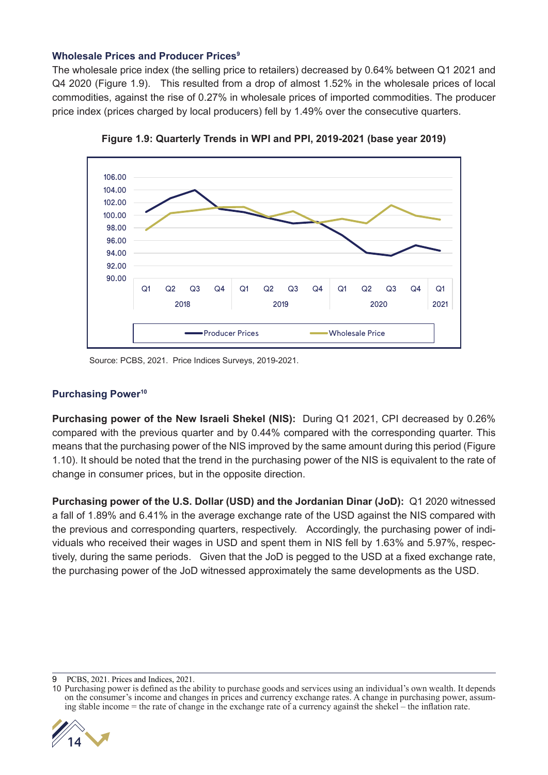#### **Wholesale Prices and Producer Prices9**

The wholesale price index (the selling price to retailers) decreased by 0.64% between Q1 2021 and Q4 2020 (Figure 1.9). This resulted from a drop of almost 1.52% in the wholesale prices of local commodities, against the rise of 0.27% in wholesale prices of imported commodities. The producer price index (prices charged by local producers) fell by 1.49% over the consecutive quarters.



**Figure 1.9: Quarterly Trends in WPI and PPI, 2019-2021 (base year 2019)**

Source: PCBS, 2021. Price Indices Surveys, 2019-2021.

#### **Purchasing Power10**

**Purchasing power of the New Israeli Shekel (NIS):** During Q1 2021, CPI decreased by 0.26% compared with the previous quarter and by 0.44% compared with the corresponding quarter. This means that the purchasing power of the NIS improved by the same amount during this period (Figure 1.10). It should be noted that the trend in the purchasing power of the NIS is equivalent to the rate of change in consumer prices, but in the opposite direction.

**Purchasing power of the U.S. Dollar (USD) and the Jordanian Dinar (JoD):** Q1 2020 witnessed a fall of 1.89% and 6.41% in the average exchange rate of the USD against the NIS compared with the previous and corresponding quarters, respectively. Accordingly, the purchasing power of individuals who received their wages in USD and spent them in NIS fell by 1.63% and 5.97%, respectively, during the same periods. Given that the JoD is pegged to the USD at a fixed exchange rate, the purchasing power of the JoD witnessed approximately the same developments as the USD.

<sup>10</sup> Purchasing power is defined as the ability to purchase goods and services using an individual's own wealth. It depends on the consumer's income and changes in prices and currency exchange rates. A change in purchasing power, assuming stable income = the rate of change in the exchange rate of a currency against the shekel – the inflation rate.



<sup>9</sup> PCBS, 2021. Prices and Indices, 2021.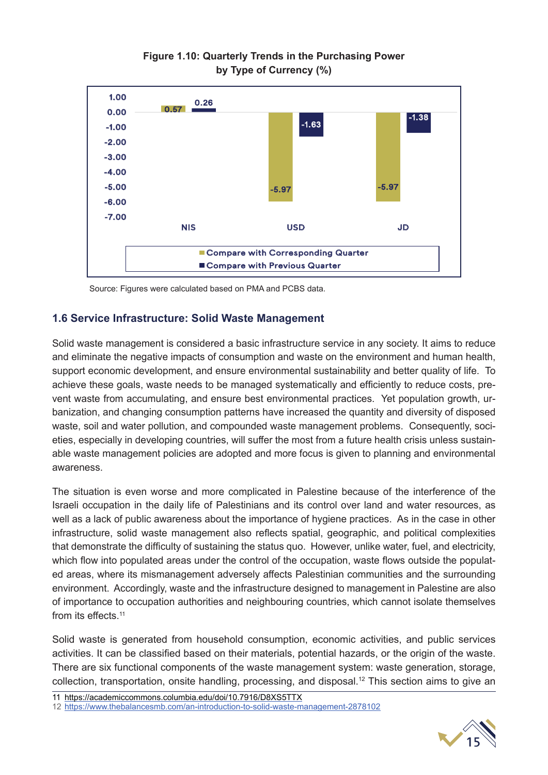

#### **Figure 1.10: Quarterly Trends in the Purchasing Power by Type of Currency (%)**

Source: Figures were calculated based on PMA and PCBS data.

#### **1.6 Service Infrastructure: Solid Waste Management**

Solid waste management is considered a basic infrastructure service in any society. It aims to reduce and eliminate the negative impacts of consumption and waste on the environment and human health, support economic development, and ensure environmental sustainability and better quality of life. To achieve these goals, waste needs to be managed systematically and efficiently to reduce costs, prevent waste from accumulating, and ensure best environmental practices. Yet population growth, urbanization, and changing consumption patterns have increased the quantity and diversity of disposed waste, soil and water pollution, and compounded waste management problems. Consequently, societies, especially in developing countries, will suffer the most from a future health crisis unless sustainable waste management policies are adopted and more focus is given to planning and environmental awareness.

The situation is even worse and more complicated in Palestine because of the interference of the Israeli occupation in the daily life of Palestinians and its control over land and water resources, as well as a lack of public awareness about the importance of hygiene practices. As in the case in other infrastructure, solid waste management also reflects spatial, geographic, and political complexities that demonstrate the difficulty of sustaining the status quo. However, unlike water, fuel, and electricity, which flow into populated areas under the control of the occupation, waste flows outside the populated areas, where its mismanagement adversely affects Palestinian communities and the surrounding environment. Accordingly, waste and the infrastructure designed to management in Palestine are also of importance to occupation authorities and neighbouring countries, which cannot isolate themselves from its effects.<sup>11</sup>

Solid waste is generated from household consumption, economic activities, and public services activities. It can be classified based on their materials, potential hazards, or the origin of the waste. There are six functional components of the waste management system: waste generation, storage, collection, transportation, onsite handling, processing, and disposal.<sup>12</sup> This section aims to give an

11 https://academiccommons.columbia.edu/doi/10.7916/D8XS5TTX



<sup>12</sup> https://www.thebalancesmb.com/an-introduction-to-solid-waste-management-2878102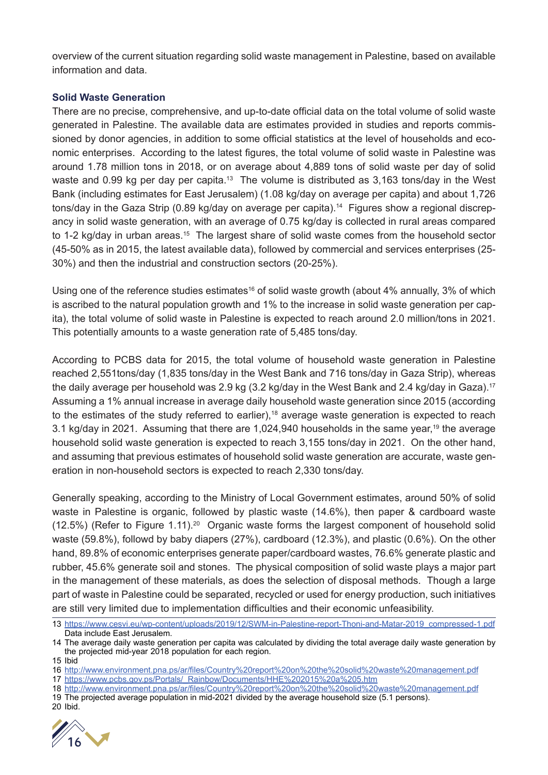overview of the current situation regarding solid waste management in Palestine, based on available information and data.

#### **Solid Waste Generation**

There are no precise, comprehensive, and up-to-date official data on the total volume of solid waste generated in Palestine. The available data are estimates provided in studies and reports commissioned by donor agencies, in addition to some official statistics at the level of households and economic enterprises. According to the latest figures, the total volume of solid waste in Palestine was around 1.78 million tons in 2018, or on average about 4,889 tons of solid waste per day of solid waste and 0.99 kg per day per capita.<sup>13</sup> The volume is distributed as 3,163 tons/day in the West Bank (including estimates for East Jerusalem) (1.08 kg/day on average per capita) and about 1,726 tons/day in the Gaza Strip (0.89 kg/day on average per capita).<sup>14</sup> Figures show a regional discrepancy in solid waste generation, with an average of 0.75 kg/day is collected in rural areas compared to 1-2 kg/day in urban areas.<sup>15</sup> The largest share of solid waste comes from the household sector (45-50% as in 2015, the latest available data), followed by commercial and services enterprises (25- 30%) and then the industrial and construction sectors (20-25%).

Using one of the reference studies estimates<sup>16</sup> of solid waste growth (about 4% annually, 3% of which is ascribed to the natural population growth and 1% to the increase in solid waste generation per capita), the total volume of solid waste in Palestine is expected to reach around 2.0 million/tons in 2021. This potentially amounts to a waste generation rate of 5,485 tons/day.

According to PCBS data for 2015, the total volume of household waste generation in Palestine reached 2,551tons/day (1,835 tons/day in the West Bank and 716 tons/day in Gaza Strip), whereas the daily average per household was 2.9 kg (3.2 kg/day in the West Bank and 2.4 kg/day in Gaza).<sup>17</sup> Assuming a 1% annual increase in average daily household waste generation since 2015 (according to the estimates of the study referred to earlier),18 average waste generation is expected to reach 3.1 kg/day in 2021. Assuming that there are 1,024,940 households in the same year,<sup>19</sup> the average household solid waste generation is expected to reach 3,155 tons/day in 2021. On the other hand, and assuming that previous estimates of household solid waste generation are accurate, waste generation in non-household sectors is expected to reach 2,330 tons/day.

Generally speaking, according to the Ministry of Local Government estimates, around 50% of solid waste in Palestine is organic, followed by plastic waste (14.6%), then paper & cardboard waste  $(12.5%)$  (Refer to Figure 1.11).<sup>20</sup> Organic waste forms the largest component of household solid waste (59.8%), followd by baby diapers (27%), cardboard (12.3%), and plastic (0.6%). On the other hand, 89.8% of economic enterprises generate paper/cardboard wastes, 76.6% generate plastic and rubber, 45.6% generate soil and stones. The physical composition of solid waste plays a major part in the management of these materials, as does the selection of disposal methods. Though a large part of waste in Palestine could be separated, recycled or used for energy production, such initiatives are still very limited due to implementation difficulties and their economic unfeasibility.

- 18 http://www.environment.pna.ps/ar/files/Country%20report%20on%20the%20solid%20waste%20management.pdf
- 19 The projected average population in mid-2021 divided by the average household size (5.1 persons).

<sup>20</sup> Ibid.



<sup>13</sup> https://www.cesvi.eu/wp-content/uploads/2019/12/SWM-in-Palestine-report-Thoni-and-Matar-2019\_compressed-1.pdf Data include East Jerusalem.

<sup>14</sup> The average daily waste generation per capita was calculated by dividing the total average daily waste generation by the projected mid-year 2018 population for each region.

<sup>15</sup> Ibid

<sup>16</sup> http://www.environment.pna.ps/ar/files/Country%20report%20on%20the%20solid%20waste%20management.pdf

<sup>17</sup> https://www.pcbs.gov.ps/Portals/\_Rainbow/Documents/HHE%202015%20a%205.htm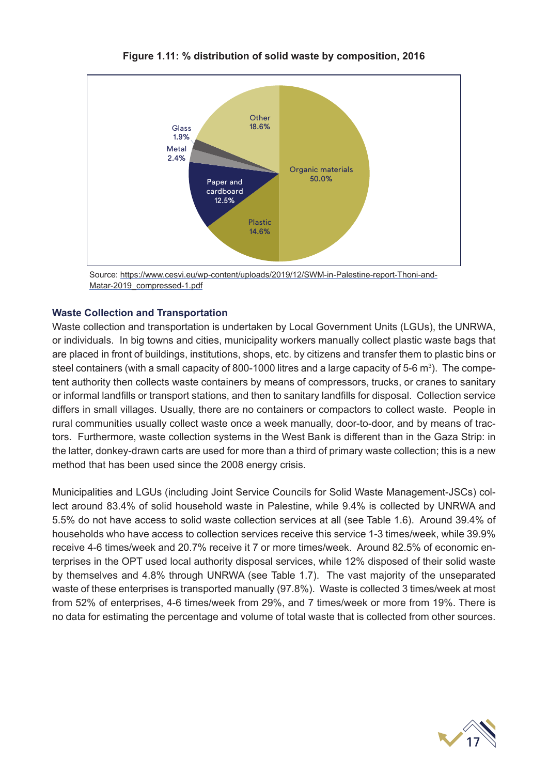

**Figure 1.11: % distribution of solid waste by composition, 2016**

Source: https://www.cesvi.eu/wp-content/uploads/2019/12/SWM-in-Palestine-report-Thoni-and-Matar-2019\_compressed-1.pdf

#### **Waste Collection and Transportation**

Waste collection and transportation is undertaken by Local Government Units (LGUs), the UNRWA, or individuals. In big towns and cities, municipality workers manually collect plastic waste bags that are placed in front of buildings, institutions, shops, etc. by citizens and transfer them to plastic bins or steel containers (with a small capacity of 800-1000 litres and a large capacity of 5-6  $\text{m}^{3}$ ). The competent authority then collects waste containers by means of compressors, trucks, or cranes to sanitary or informal landfills or transport stations, and then to sanitary landfills for disposal. Collection service differs in small villages. Usually, there are no containers or compactors to collect waste. People in rural communities usually collect waste once a week manually, door-to-door, and by means of tractors. Furthermore, waste collection systems in the West Bank is different than in the Gaza Strip: in the latter, donkey-drawn carts are used for more than a third of primary waste collection; this is a new method that has been used since the 2008 energy crisis.

Municipalities and LGUs (including Joint Service Councils for Solid Waste Management-JSCs) collect around 83.4% of solid household waste in Palestine, while 9.4% is collected by UNRWA and 5.5% do not have access to solid waste collection services at all (see Table 1.6). Around 39.4% of households who have access to collection services receive this service 1-3 times/week, while 39.9% receive 4-6 times/week and 20.7% receive it 7 or more times/week. Around 82.5% of economic enterprises in the OPT used local authority disposal services, while 12% disposed of their solid waste by themselves and 4.8% through UNRWA (see Table 1.7). The vast majority of the unseparated waste of these enterprises is transported manually (97.8%). Waste is collected 3 times/week at most from 52% of enterprises, 4-6 times/week from 29%, and 7 times/week or more from 19%. There is no data for estimating the percentage and volume of total waste that is collected from other sources.

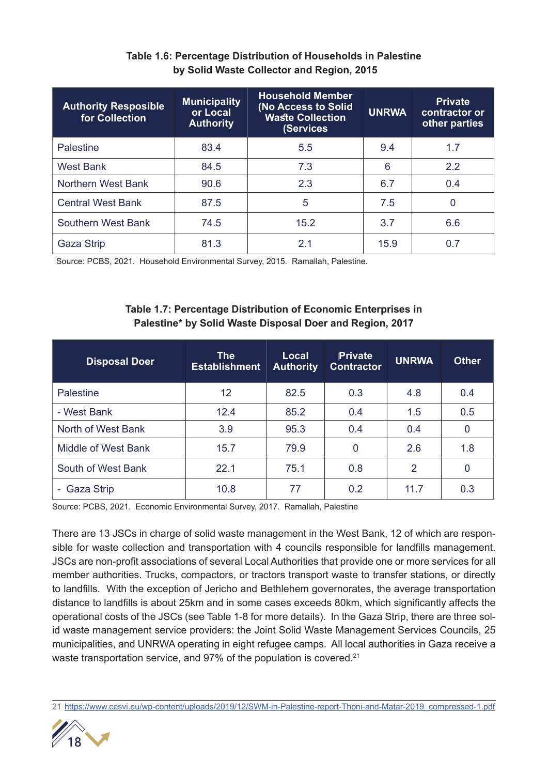| <b>Authority Resposible</b><br>for Collection | <b>Municipality</b><br>or Local<br><b>Authority</b> | <b>Household Member</b><br>(No Access to Solid<br><b>Waste Collection</b><br>(Services | <b>UNRWA</b> | <b>Private</b><br>contractor or<br>other parties |
|-----------------------------------------------|-----------------------------------------------------|----------------------------------------------------------------------------------------|--------------|--------------------------------------------------|
| <b>Palestine</b>                              | 83.4                                                | 5.5                                                                                    | 9.4          | 1.7                                              |
| <b>West Bank</b>                              | 84.5                                                | 7.3                                                                                    | 6            | 2.2                                              |
| Northern West Bank                            | 90.6                                                | 2.3                                                                                    | 6.7          | 0.4                                              |
| <b>Central West Bank</b>                      | 87.5                                                | 5                                                                                      | 7.5          | 0                                                |
| Southern West Bank                            | 74.5                                                | 15.2                                                                                   | 3.7          | 6.6                                              |
| Gaza Strip                                    | 81.3                                                | 2.1                                                                                    | 15.9         | 0.7                                              |

#### **Table 1.6: Percentage Distribution of Households in Palestine by Solid Waste Collector and Region, 2015**

Source: PCBS, 2021. Household Environmental Survey, 2015. Ramallah, Palestine.

#### **Table 1.7: Percentage Distribution of Economic Enterprises in Palestine\* by Solid Waste Disposal Doer and Region, 2017**

| <b>Disposal Doer</b> | <b>The</b><br><b>Establishment</b> | <b>Local</b><br><b>Authority</b> | <b>Private</b><br><b>Contractor</b> | <b>UNRWA</b> | <b>Other</b> |
|----------------------|------------------------------------|----------------------------------|-------------------------------------|--------------|--------------|
| Palestine            | 12                                 | 82.5                             | 0.3                                 | 4.8          | 0.4          |
| - West Bank          | 12.4                               | 85.2                             | 0.4                                 | 1.5          | 0.5          |
| North of West Bank   | 3.9                                | 95.3                             | 0.4                                 | 0.4          | 0            |
| Middle of West Bank  | 15.7                               | 79.9                             | $\Omega$                            | 2.6          | 1.8          |
| South of West Bank   | 22.1                               | 75.1                             | 0.8                                 | 2            | 0            |
| Gaza Strip<br>н.     | 10.8                               | 77                               | 0.2                                 | 11.7         | 0.3          |

Source: PCBS, 2021. Economic Environmental Survey, 2017. Ramallah, Palestine

There are 13 JSCs in charge of solid waste management in the West Bank, 12 of which are responsible for waste collection and transportation with 4 councils responsible for landfills management. JSCs are non-profit associations of several Local Authorities that provide one or more services for all member authorities. Trucks, compactors, or tractors transport waste to transfer stations, or directly to landfills. With the exception of Jericho and Bethlehem governorates, the average transportation distance to landfills is about 25km and in some cases exceeds 80km, which significantly affects the operational costs of the JSCs (see Table 1-8 for more details). In the Gaza Strip, there are three solid waste management service providers: the Joint Solid Waste Management Services Councils, 25 municipalities, and UNRWA operating in eight refugee camps. All local authorities in Gaza receive a waste transportation service, and 97% of the population is covered.<sup>21</sup>

<sup>21</sup> https://www.cesvi.eu/wp-content/uploads/2019/12/SWM-in-Palestine-report-Thoni-and-Matar-2019\_compressed-1.pdf

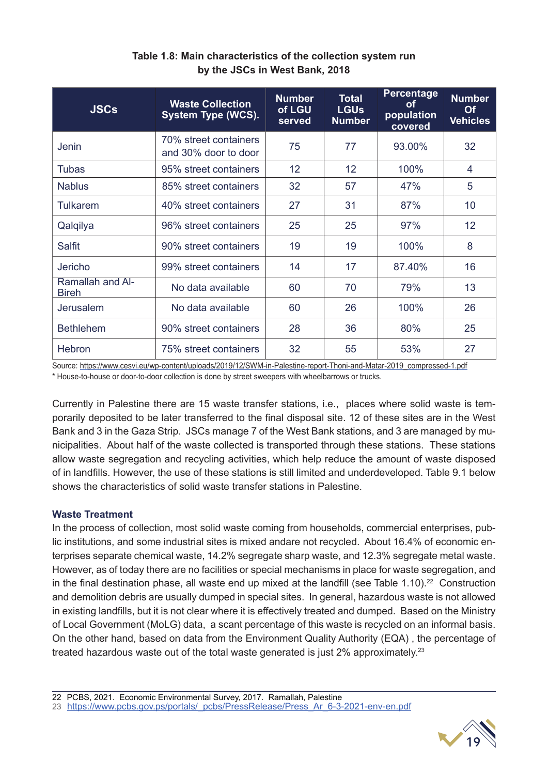| <b>JSCs</b>                      | <b>Waste Collection</b><br><b>System Type (WCS).</b> | <b>Number</b><br>of LGU<br>served | <b>Total</b><br><b>LGUs</b><br><b>Number</b> | Percentage<br>οf<br>population<br>covered | <b>Number</b><br><b>Of</b><br><b>Vehicles</b> |
|----------------------------------|------------------------------------------------------|-----------------------------------|----------------------------------------------|-------------------------------------------|-----------------------------------------------|
| Jenin                            | 70% street containers<br>and 30% door to door        | 75                                | 77                                           | 93.00%                                    | 32                                            |
| <b>Tubas</b>                     | 95% street containers                                | 12 <sup>2</sup>                   | 12                                           | 100%                                      | 4                                             |
| <b>Nablus</b>                    | 85% street containers                                | 32                                | 57                                           | 47%                                       | 5                                             |
| Tulkarem                         | 40% street containers                                | 27                                | 31                                           | 87%                                       | 10                                            |
| Qalqilya                         | 96% street containers                                | 25                                | 25                                           | 97%                                       | 12                                            |
| Salfit                           | 90% street containers                                | 19                                | 19                                           | 100%                                      | 8                                             |
| Jericho                          | 99% street containers                                | 14                                | 17                                           | 87.40%                                    | 16                                            |
| Ramallah and Al-<br><b>Bireh</b> | No data available                                    | 60                                | 70                                           | 79%                                       | 13                                            |
| Jerusalem                        | No data available                                    | 60                                | 26                                           | 100%                                      | 26                                            |
| <b>Bethlehem</b>                 | 90% street containers                                | 28                                | 36                                           | 80%                                       | 25                                            |
| Hebron                           | 75% street containers                                | 32                                | 55                                           | 53%                                       | 27                                            |

#### **Table 1.8: Main characteristics of the collection system run by the JSCs in West Bank, 2018**

Source: https://www.cesvi.eu/wp-content/uploads/2019/12/SWM-in-Palestine-report-Thoni-and-Matar-2019\_compressed-1.pdf

\* House-to-house or door-to-door collection is done by street sweepers with wheelbarrows or trucks.

Currently in Palestine there are 15 waste transfer stations, i.e., places where solid waste is temporarily deposited to be later transferred to the final disposal site. 12 of these sites are in the West Bank and 3 in the Gaza Strip. JSCs manage 7 of the West Bank stations, and 3 are managed by municipalities. About half of the waste collected is transported through these stations. These stations allow waste segregation and recycling activities, which help reduce the amount of waste disposed of in landfills. However, the use of these stations is still limited and underdeveloped. Table 9.1 below shows the characteristics of solid waste transfer stations in Palestine.

#### **Waste Treatment**

In the process of collection, most solid waste coming from households, commercial enterprises, public institutions, and some industrial sites is mixed andare not recycled. About 16.4% of economic enterprises separate chemical waste, 14.2% segregate sharp waste, and 12.3% segregate metal waste. However, as of today there are no facilities or special mechanisms in place for waste segregation, and in the final destination phase, all waste end up mixed at the landfill (see Table 1.10).<sup>22</sup> Construction and demolition debris are usually dumped in special sites. In general, hazardous waste is not allowed in existing landfills, but it is not clear where it is effectively treated and dumped. Based on the Ministry of Local Government (MoLG) data, a scant percentage of this waste is recycled on an informal basis. On the other hand, based on data from the Environment Quality Authority (EQA) , the percentage of treated hazardous waste out of the total waste generated is just 2% approximately.<sup>23</sup>

22 PCBS, 2021. Economic Environmental Survey, 2017. Ramallah, Palestine

23 https://www.pcbs.gov.ps/portals/\_pcbs/PressRelease/Press\_Ar\_6-3-2021-env-en.pdf

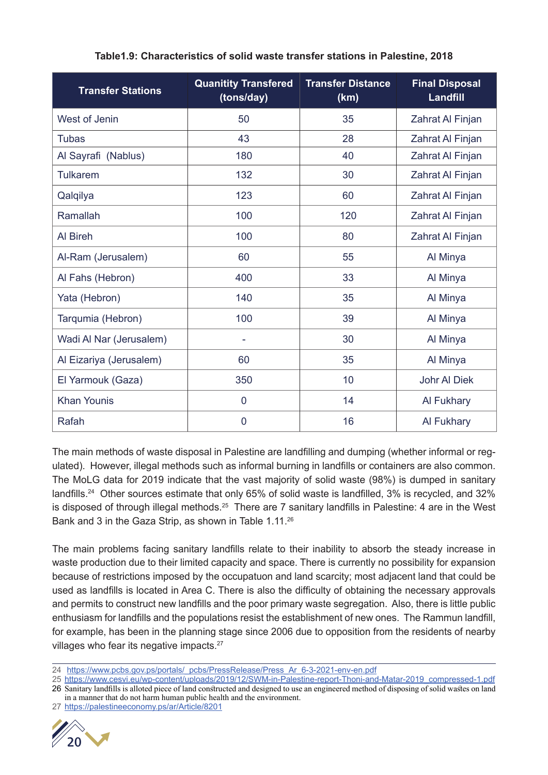| <b>Transfer Stations</b> | <b>Quanitity Transfered</b><br>(tons/day) | <b>Transfer Distance</b><br>(km) | <b>Final Disposal</b><br><b>Landfill</b> |
|--------------------------|-------------------------------------------|----------------------------------|------------------------------------------|
| West of Jenin            | 50                                        | 35                               | Zahrat Al Finjan                         |
| <b>Tubas</b>             | 43                                        | 28                               | Zahrat Al Finjan                         |
| Al Sayrafi (Nablus)      | 180                                       | 40                               | Zahrat Al Finjan                         |
| <b>Tulkarem</b>          | 132                                       | 30                               | Zahrat Al Finjan                         |
| Qalqilya                 | 123                                       | 60                               | Zahrat Al Finjan                         |
| Ramallah                 | 100                                       | 120                              | Zahrat Al Finjan                         |
| Al Bireh                 | 100                                       | 80                               | Zahrat Al Finjan                         |
| Al-Ram (Jerusalem)       | 60                                        | 55                               | Al Minya                                 |
| Al Fahs (Hebron)         | 400                                       | 33                               | Al Minya                                 |
| Yata (Hebron)            | 140                                       | 35                               | Al Minya                                 |
| Tarqumia (Hebron)        | 100                                       | 39                               | Al Minya                                 |
| Wadi Al Nar (Jerusalem)  | ۰                                         | 30                               | Al Minya                                 |
| Al Eizariya (Jerusalem)  | 60                                        | 35                               | Al Minya                                 |
| El Yarmouk (Gaza)        | 350                                       | 10                               | <b>Johr Al Diek</b>                      |
| <b>Khan Younis</b>       | $\overline{0}$                            | 14                               | Al Fukhary                               |
| Rafah                    | $\overline{0}$                            | 16                               | Al Fukhary                               |

#### **Table1.9: Characteristics of solid waste transfer stations in Palestine, 2018**

The main methods of waste disposal in Palestine are landfilling and dumping (whether informal or regulated). However, illegal methods such as informal burning in landfills or containers are also common. The MoLG data for 2019 indicate that the vast majority of solid waste (98%) is dumped in sanitary landfills.<sup>24</sup> Other sources estimate that only 65% of solid waste is landfilled, 3% is recycled, and 32% is disposed of through illegal methods.<sup>25</sup> There are 7 sanitary landfills in Palestine: 4 are in the West Bank and 3 in the Gaza Strip, as shown in Table 1.11.26

The main problems facing sanitary landfills relate to their inability to absorb the steady increase in waste production due to their limited capacity and space. There is currently no possibility for expansion because of restrictions imposed by the occupatuon and land scarcity; most adjacent land that could be used as landfills is located in Area C. There is also the difficulty of obtaining the necessary approvals and permits to construct new landfills and the poor primary waste segregation. Also, there is little public enthusiasm for landfills and the populations resist the establishment of new ones. The Rammun landfill, for example, has been in the planning stage since 2006 due to opposition from the residents of nearby villages who fear its negative impacts.<sup>27</sup>

<sup>27</sup> https://palestineeconomy.ps/ar/Article/8201



<sup>24</sup> https://www.pcbs.gov.ps/portals/ pcbs/PressRelease/Press Ar 6-3-2021-env-en.pdf

<sup>25</sup> https://www.cesvi.eu/wp-content/uploads/2019/12/SWM-in-Palestine-report-Thoni-and-Matar-2019\_compressed-1.pdf

<sup>26</sup> Sanitary landfills is alloted piece of land constructed and designed to use an engineered method of disposing of solid wastes on land in a manner that do not harm human public health and the environment.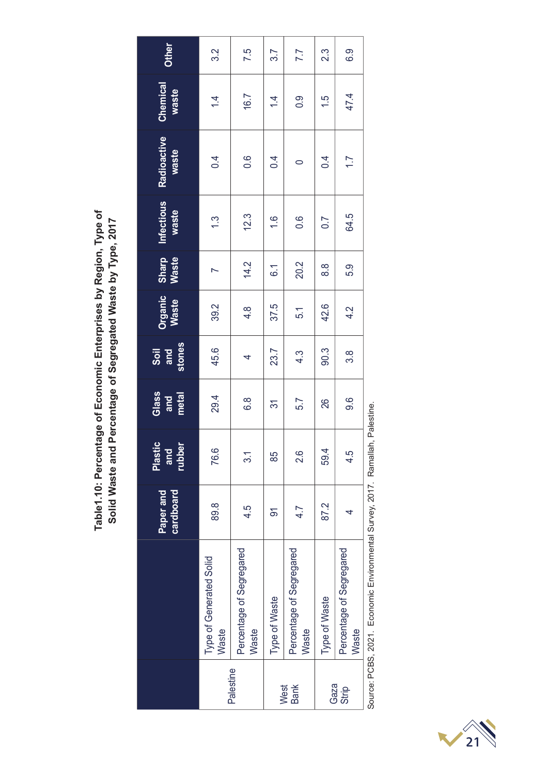Table1.10: Percentage of Economic Enterprises by Region, Type of<br>Solid Waste and Percentage of Segregated Waste by Type, 2017 **Table1.10: Percentage of Economic Enterprises by Region, Type of Solid Waste and Percentage of Segregated Waste by Type, 2017**

| Paper and<br>cardboard            |      | Plastic<br>and  | Glass<br>and<br>metal                | Soil<br>and<br>stones | Organic<br>Waste | Sharp<br>Waste    | <b>Infectious</b><br>waste | Radioactive<br>waste | Chemical<br>waste | Other |
|-----------------------------------|------|-----------------|--------------------------------------|-----------------------|------------------|-------------------|----------------------------|----------------------|-------------------|-------|
|                                   |      | rubber          |                                      |                       |                  |                   |                            |                      |                   |       |
| Type of Generated Solid<br>Waste  | 89.8 | 76.6            | 29.4                                 | 45.6                  | 39.2             |                   | 1.3                        | 0.4                  | $\overline{4}$    | 3.2   |
| Percentage of Segregared<br>Waste | 4.5  | $\overline{31}$ | $\frac{8}{6}$                        | 4                     | $4.\overline{8}$ | 14.2              | 12.3                       | $0.\overline{6}$     | 16.7              | 7.5   |
| Type of Waste                     | δ    | 85              | $\overline{\widetilde{\mathcal{C}}}$ | 23.7                  | 37.5             | $\overline{6}$ .1 | $\frac{6}{1}$              | 0.4                  | $\overline{4}$    | 3.7   |
| Percentage of Segregared<br>Waste | 4.7  | 2.6             | 5.7                                  | $4.\overline{3}$      | 5.1              | 20.2              | $0.\overline{6}$           | $\circ$              | 0.9               | 7.7   |
| Type of Waste                     | 87.2 | 59.4            | 26                                   | 90.3                  | 42.6             | 8.8               | $\overline{0.7}$           | 0.4                  | 1.5               | 23    |
| Percentage of Segregared<br>Waste | 4    | 4.5             | 9.6                                  | 3.8                   | 4.2              | 5.9               | 64.5                       | $\overline{1.7}$     | 47.4              | 6.9   |

Source: PCBS, 2021. Economic Environmental Survey, 2017. Ramallah, Palestine. Source: PCBS, 2021. Economic Environmental Survey, 2017. Ramallah, Palestine.

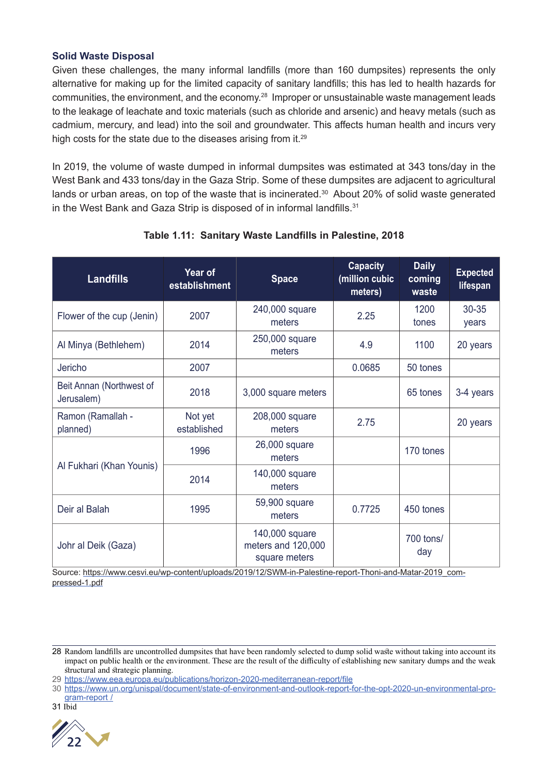#### **Solid Waste Disposal**

Given these challenges, the many informal landfills (more than 160 dumpsites) represents the only alternative for making up for the limited capacity of sanitary landfills; this has led to health hazards for communities, the environment, and the economy.28 Improper or unsustainable waste management leads to the leakage of leachate and toxic materials (such as chloride and arsenic) and heavy metals (such as cadmium, mercury, and lead) into the soil and groundwater. This affects human health and incurs very high costs for the state due to the diseases arising from it.<sup>29</sup>

In 2019, the volume of waste dumped in informal dumpsites was estimated at 343 tons/day in the West Bank and 433 tons/day in the Gaza Strip. Some of these dumpsites are adjacent to agricultural lands or urban areas, on top of the waste that is incinerated.<sup>30</sup> About 20% of solid waste generated in the West Bank and Gaza Strip is disposed of in informal landfills.<sup>31</sup>

| <b>Landfills</b>                       | Year of<br>establishment | <b>Space</b>                                          | <b>Capacity</b><br>(million cubic<br>meters) | <b>Daily</b><br>coming<br>waste | <b>Expected</b><br><b>lifespan</b> |
|----------------------------------------|--------------------------|-------------------------------------------------------|----------------------------------------------|---------------------------------|------------------------------------|
| Flower of the cup (Jenin)              | 2007                     | 240,000 square<br>meters                              | 2.25                                         | 1200<br>tones                   | $30 - 35$<br>years                 |
| Al Minya (Bethlehem)                   | 2014                     | 250,000 square<br>meters                              | 4.9                                          | 1100                            | 20 years                           |
| Jericho                                | 2007                     |                                                       | 0.0685                                       | 50 tones                        |                                    |
| Beit Annan (Northwest of<br>Jerusalem) | 2018                     | 3,000 square meters                                   |                                              | 65 tones                        | 3-4 years                          |
| Ramon (Ramallah -<br>planned)          | Not yet<br>established   | 208,000 square<br>meters                              | 2.75                                         |                                 | 20 years                           |
|                                        | 1996                     | 26,000 square<br>meters                               |                                              | 170 tones                       |                                    |
| Al Fukhari (Khan Younis)               | 2014                     | 140,000 square<br>meters                              |                                              |                                 |                                    |
| Deir al Balah                          | 1995                     | 59,900 square<br>meters                               | 0.7725                                       | 450 tones                       |                                    |
| Johr al Deik (Gaza)                    |                          | 140,000 square<br>meters and 120,000<br>square meters |                                              | 700 tons/<br>day                |                                    |

#### **Table 1.11: Sanitary Waste Landfills in Palestine, 2018**

Source: https://www.cesvi.eu/wp-content/uploads/2019/12/SWM-in-Palestine-report-Thoni-and-Matar-2019\_compressed-1.pdf

<sup>31</sup> Ibid



<sup>28</sup> Random landfills are uncontrolled dumpsites that have been randomly selected to dump solid waste without taking into account its impact on public health or the environment. These are the result of the difficulty of establishing new sanitary dumps and the weak structural and strategic planning.

<sup>29</sup> https://www.eea.europa.eu/publications/horizon-2020-mediterranean-report/file

<sup>30</sup> https://www.un.org/unispal/document/state-of-environment-and-outlook-report-for-the-opt-2020-un-environmental-program-report /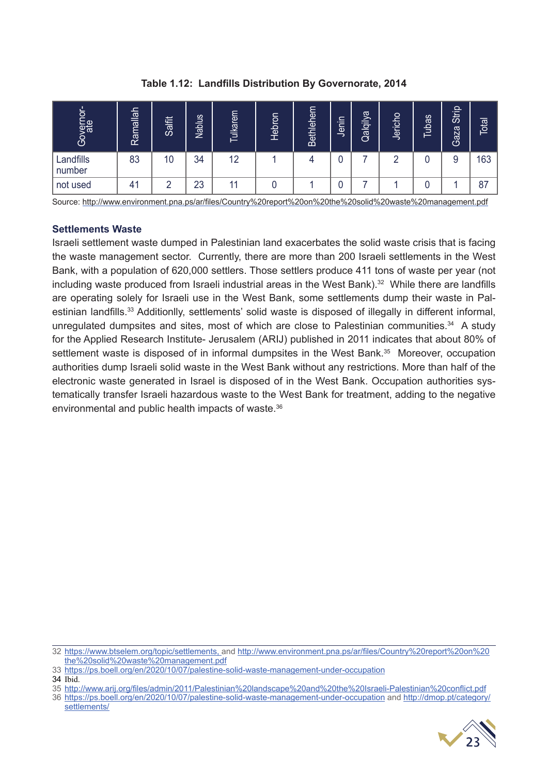| Governor-<br>ate    | Ramallah | Salfit | <b>Nablus</b> | Tulkarem | Hebron | Bethlehem | Jenin | Qalqilya | Jericho | <u>ubas</u> | <b>Strip</b><br>Gaza | Total |
|---------------------|----------|--------|---------------|----------|--------|-----------|-------|----------|---------|-------------|----------------------|-------|
| Landfills<br>number | 83       | 10     | 34            | 12       |        |           |       |          |         |             | 9                    | 163   |
| not used            | 41       |        | 23            | 44       |        |           | u     |          |         |             |                      | 87    |

**Table 1.12: Landfills Distribution By Governorate, 2014**

Source: http://www.environment.pna.ps/ar/files/Country%20report%20on%20the%20solid%20waste%20management.pdf

#### **Settlements Waste**

Israeli settlement waste dumped in Palestinian land exacerbates the solid waste crisis that is facing the waste management sector. Currently, there are more than 200 Israeli settlements in the West Bank, with a population of 620,000 settlers. Those settlers produce 411 tons of waste per year (not including waste produced from Israeli industrial areas in the West Bank).<sup>32</sup> While there are landfills are operating solely for Israeli use in the West Bank, some settlements dump their waste in Palestinian landfills.<sup>33</sup> Additionlly, settlements' solid waste is disposed of illegally in different informal, unregulated dumpsites and sites, most of which are close to Palestinian communities.<sup>34</sup> A study for the Applied Research Institute- Jerusalem (ARIJ) published in 2011 indicates that about 80% of settlement waste is disposed of in informal dumpsites in the West Bank.<sup>35</sup> Moreover, occupation authorities dump Israeli solid waste in the West Bank without any restrictions. More than half of the electronic waste generated in Israel is disposed of in the West Bank. Occupation authorities systematically transfer Israeli hazardous waste to the West Bank for treatment, adding to the negative environmental and public health impacts of waste.36

<sup>36</sup> https://ps.boell.org/en/2020/10/07/palestine-solid-waste-management-under-occupation and http://dmop.pt/category/ settlements/



<sup>32</sup> https://www.btselem.org/topic/settlements, and http://www.environment.pna.ps/ar/files/Country%20report%20on%20 the%20solid%20waste%20management.pdf

<sup>33</sup> https://ps.boell.org/en/2020/10/07/palestine-solid-waste-management-under-occupation

<sup>34</sup> Ibid.

<sup>35</sup> http://www.arij.org/files/admin/2011/Palestinian%20landscape%20and%20the%20Israeli-Palestinian%20conflict.pdf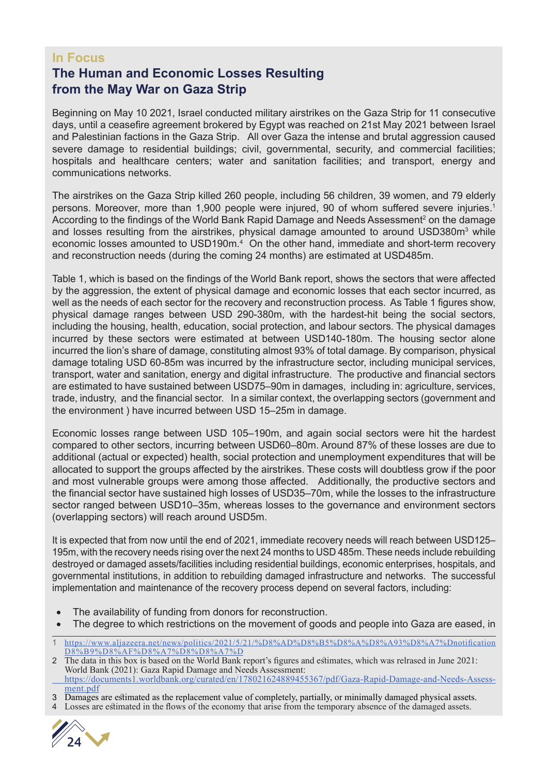#### **In Focus**

### **The Human and Economic Losses Resulting from the May War on Gaza Strip**

Beginning on May 10 2021, Israel conducted military airstrikes on the Gaza Strip for 11 consecutive days, until a ceasefire agreement brokered by Egypt was reached on 21st May 2021 between Israel and Palestinian factions in the Gaza Strip. All over Gaza the intense and brutal aggression caused severe damage to residential buildings; civil, governmental, security, and commercial facilities; hospitals and healthcare centers; water and sanitation facilities; and transport, energy and communications networks.

The airstrikes on the Gaza Strip killed 260 people, including 56 children, 39 women, and 79 elderly persons. Moreover, more than 1,900 people were injured. 90 of whom suffered severe injuries.<sup>1</sup> According to the findings of the World Bank Rapid Damage and Needs Assessment<sup>2</sup> on the damage and losses resulting from the airstrikes, physical damage amounted to around USD380m<sup>3</sup> while economic losses amounted to USD190m.<sup>4</sup> On the other hand, immediate and short-term recovery and reconstruction needs (during the coming 24 months) are estimated at USD485m.

Table 1, which is based on the findings of the World Bank report, shows the sectors that were affected by the aggression, the extent of physical damage and economic losses that each sector incurred, as well as the needs of each sector for the recovery and reconstruction process. As Table 1 figures show, physical damage ranges between USD 290-380m, with the hardest-hit being the social sectors, including the housing, health, education, social protection, and labour sectors. The physical damages incurred by these sectors were estimated at between USD140-180m. The housing sector alone incurred the lion's share of damage, constituting almost 93% of total damage. By comparison, physical damage totaling USD 60-85m was incurred by the infrastructure sector, including municipal services, transport, water and sanitation, energy and digital infrastructure. The productive and financial sectors are estimated to have sustained between USD75–90m in damages, including in: agriculture, services, trade, industry, and the financial sector. In a similar context, the overlapping sectors (government and the environment ) have incurred between USD 15–25m in damage.

Economic losses range between USD 105–190m, and again social sectors were hit the hardest compared to other sectors, incurring between USD60–80m. Around 87% of these losses are due to additional (actual or expected) health, social protection and unemployment expenditures that will be allocated to support the groups affected by the airstrikes. These costs will doubtless grow if the poor and most vulnerable groups were among those affected. Additionally, the productive sectors and the financial sector have sustained high losses of USD35–70m, while the losses to the infrastructure sector ranged between USD10–35m, whereas losses to the governance and environment sectors (overlapping sectors) will reach around USD5m.

It is expected that from now until the end of 2021, immediate recovery needs will reach between USD125– 195m, with the recovery needs rising over the next 24 months to USD 485m. These needs include rebuilding destroyed or damaged assets/facilities including residential buildings, economic enterprises, hospitals, and governmental institutions, in addition to rebuilding damaged infrastructure and networks. The successful implementation and maintenance of the recovery process depend on several factors, including:

- The availability of funding from donors for reconstruction.
- The degree to which restrictions on the movement of goods and people into Gaza are eased, in

Losses are estimated in the flows of the economy that arise from the temporary absence of the damaged assets.



<sup>1</sup> https://www.aljazeera.net/news/politics/2021/5/21/%D8%AD%D8%B5%D8%A%D8%A93%D8%A7%Dnotification D8%B9%D8%AF%D8%A7%D8%D8%A7%D

<sup>2</sup> The data in this box is based on the World Bank report's figures and estimates, which was relrased in June 2021: World Bank (2021): Gaza Rapid Damage and Needs Assessment: https://documents1.worldbank.org/curated/en/178021624889455367/pdf/Gaza-Rapid-Damage-and-Needs-Assess-

ment.pdf 3 Damages are estimated as the replacement value of completely, partially, or minimally damaged physical assets.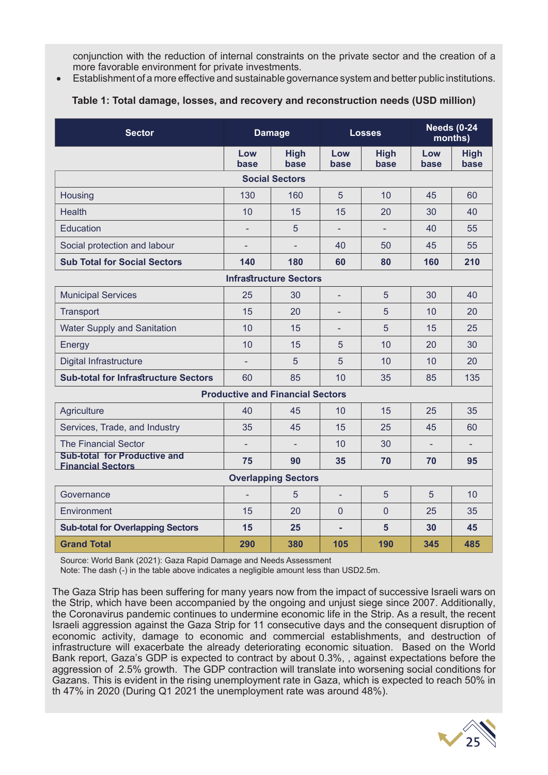conjunction with the reduction of internal constraints on the private sector and the creation of a more favorable environment for private investments.

• Establishment of a more effective and sustainable governance system and better public institutions.

#### **Table 1: Total damage, losses, and recovery and reconstruction needs (USD million)**

| <b>Sector</b>                                                   |                          | <b>Damage</b>                           |                          | <b>Losses</b>       |             | <b>Needs (0-24</b><br>months) |
|-----------------------------------------------------------------|--------------------------|-----------------------------------------|--------------------------|---------------------|-------------|-------------------------------|
|                                                                 | Low<br>base              | <b>High</b><br>base                     | Low<br>base              | <b>High</b><br>base | Low<br>base | <b>High</b><br>base           |
|                                                                 |                          | <b>Social Sectors</b>                   |                          |                     |             |                               |
| Housing                                                         | 130                      | 160                                     | 5                        | 10                  | 45          | 60                            |
| <b>Health</b>                                                   | 10                       | 15                                      | 15                       | 20                  | 30          | 40                            |
| Education                                                       |                          | 5                                       |                          |                     | 40          | 55                            |
| Social protection and labour                                    | $\overline{\phantom{a}}$ | ÷,                                      | 40                       | 50                  | 45          | 55                            |
| <b>Sub Total for Social Sectors</b>                             | 140                      | 180                                     | 60                       | 80                  | 160         | 210                           |
|                                                                 |                          | <b>Infrastructure Sectors</b>           |                          |                     |             |                               |
| <b>Municipal Services</b>                                       | 25                       | 30                                      | $\overline{\phantom{a}}$ | 5                   | 30          | 40                            |
| Transport                                                       | 15                       | 20                                      |                          | 5                   | 10          | 20                            |
| <b>Water Supply and Sanitation</b>                              | 10                       | 15                                      |                          | 5                   | 15          | 25                            |
| Energy                                                          | 10                       | 15                                      | 5                        | 10                  | 20          | 30                            |
| Digital Infrastructure                                          | $\equiv$                 | 5                                       | 5                        | 10                  | 10          | 20                            |
| <b>Sub-total for Infrastructure Sectors</b>                     | 60                       | 85                                      | 10                       | 35                  | 85          | 135                           |
|                                                                 |                          | <b>Productive and Financial Sectors</b> |                          |                     |             |                               |
| Agriculture                                                     | 40                       | 45                                      | 10                       | 15                  | 25          | 35                            |
| Services, Trade, and Industry                                   | 35                       | 45                                      | 15                       | 25                  | 45          | 60                            |
| <b>The Financial Sector</b>                                     |                          |                                         | 10                       | 30                  |             |                               |
| <b>Sub-total for Productive and</b><br><b>Financial Sectors</b> | 75                       | 90                                      | 35                       | 70                  | 70          | 95                            |
|                                                                 |                          | <b>Overlapping Sectors</b>              |                          |                     |             |                               |
| Governance                                                      |                          | 5                                       | $\overline{\phantom{a}}$ | 5                   | 5           | 10                            |
| Environment                                                     | 15                       | 20                                      | $\overline{0}$           | $\overline{0}$      | 25          | 35                            |
| <b>Sub-total for Overlapping Sectors</b>                        | 15                       | 25                                      | ٠                        | 5                   | 30          | 45                            |
| <b>Grand Total</b>                                              | 290                      | 380                                     | 105                      | 190                 | 345         | 485                           |

Source: World Bank (2021): Gaza Rapid Damage and Needs Assessment

Note: The dash (-) in the table above indicates a negligible amount less than USD2.5m.

The Gaza Strip has been suffering for many years now from the impact of successive Israeli wars on the Strip, which have been accompanied by the ongoing and unjust siege since 2007. Additionally, the Coronavirus pandemic continues to undermine economic life in the Strip. As a result, the recent Israeli aggression against the Gaza Strip for 11 consecutive days and the consequent disruption of economic activity, damage to economic and commercial establishments, and destruction of infrastructure will exacerbate the already deteriorating economic situation. Based on the World Bank report, Gaza's GDP is expected to contract by about 0.3%, , against expectations before the aggression of 2.5% growth. The GDP contraction will translate into worsening social conditions for Gazans. This is evident in the rising unemployment rate in Gaza, which is expected to reach 50% in th 47% in 2020 (During Q1 2021 the unemployment rate was around 48%).

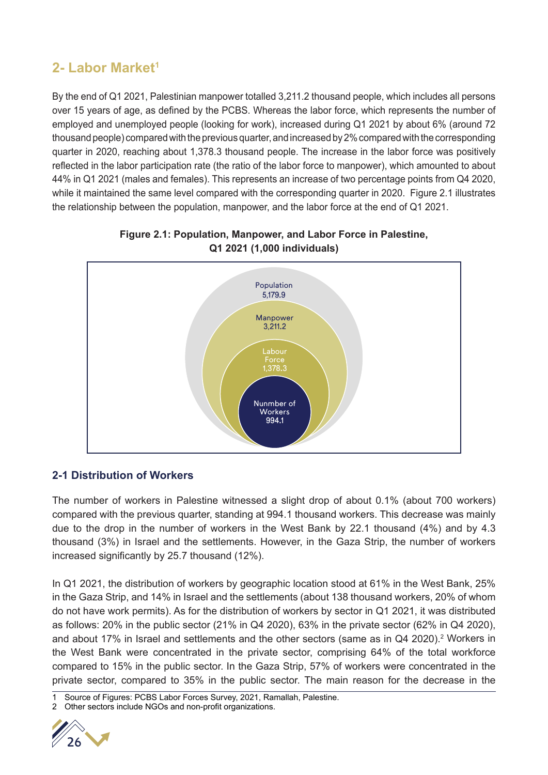## **2- Labor Market1**

By the end of Q1 2021, Palestinian manpower totalled 3,211.2 thousand people, which includes all persons over 15 years of age, as defined by the PCBS. Whereas the labor force, which represents the number of employed and unemployed people (looking for work), increased during Q1 2021 by about 6% (around 72 thousand people) compared with the previous quarter, and increased by 2% compared with the corresponding quarter in 2020, reaching about 1,378.3 thousand people. The increase in the labor force was positively reflected in the labor participation rate (the ratio of the labor force to manpower), which amounted to about 44% in Q1 2021 (males and females). This represents an increase of two percentage points from Q4 2020, while it maintained the same level compared with the corresponding quarter in 2020. Figure 2.1 illustrates the relationship between the population, manpower, and the labor force at the end of Q1 2021.



#### **Figure 2.1: Population, Manpower, and Labor Force in Palestine, Q1 2021 (1,000 individuals)**

#### **2-1 Distribution of Workers**

The number of workers in Palestine witnessed a slight drop of about 0.1% (about 700 workers) compared with the previous quarter, standing at 994.1 thousand workers. This decrease was mainly due to the drop in the number of workers in the West Bank by 22.1 thousand (4%) and by 4.3 thousand (3%) in Israel and the settlements. However, in the Gaza Strip, the number of workers increased significantly by 25.7 thousand (12%).

In Q1 2021, the distribution of workers by geographic location stood at 61% in the West Bank, 25% in the Gaza Strip, and 14% in Israel and the settlements (about 138 thousand workers, 20% of whom do not have work permits). As for the distribution of workers by sector in Q1 2021, it was distributed as follows: 20% in the public sector (21% in Q4 2020), 63% in the private sector (62% in Q4 2020), and about 17% in Israel and settlements and the other sectors (same as in Q4 2020).<sup>2</sup> Workers in the West Bank were concentrated in the private sector, comprising 64% of the total workforce compared to 15% in the public sector. In the Gaza Strip, 57% of workers were concentrated in the private sector, compared to 35% in the public sector. The main reason for the decrease in the

<sup>2</sup> Other sectors include NGOs and non-profit organizations.



Source of Figures: PCBS Labor Forces Survey, 2021, Ramallah, Palestine.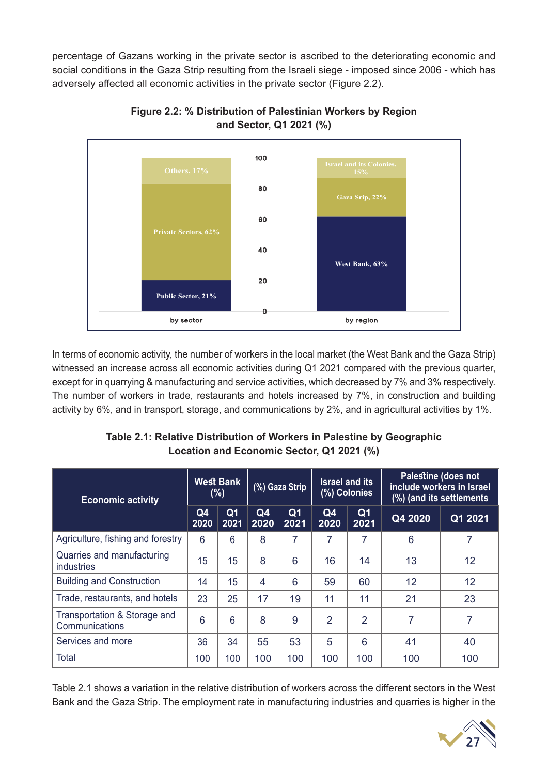percentage of Gazans working in the private sector is ascribed to the deteriorating economic and social conditions in the Gaza Strip resulting from the Israeli siege - imposed since 2006 - which has adversely affected all economic activities in the private sector (Figure 2.2).



**Figure 2.2: % Distribution of Palestinian Workers by Region and Sector, Q1 2021 (%)**

In terms of economic activity, the number of workers in the local market (the West Bank and the Gaza Strip) witnessed an increase across all economic activities during Q1 2021 compared with the previous quarter, except for in quarrying & manufacturing and service activities, which decreased by 7% and 3% respectively. The number of workers in trade, restaurants and hotels increased by 7%, in construction and building activity by 6%, and in transport, storage, and communications by 2%, and in agricultural activities by 1%.

| Table 2.1: Relative Distribution of Workers in Palestine by Geographic |
|------------------------------------------------------------------------|
| Location and Economic Sector, Q1 2021 (%)                              |
|                                                                        |
| <b>Bullettere</b> / Julie 1                                            |

| <b>Economic activity</b>                        |            | <b>West Bank</b><br>(%) |                | (%) Gaza Strip         |                | <b>Israel and its</b><br>(%) Colonies |         | Palestine (does not<br>include workers in Israel<br>(%) (and its settlements |
|-------------------------------------------------|------------|-------------------------|----------------|------------------------|----------------|---------------------------------------|---------|------------------------------------------------------------------------------|
|                                                 | Q4<br>2020 | Q <sub>1</sub><br>2021  | Q4<br>2020     | Q <sub>1</sub><br>2021 | Q4<br>2020     | Q <sub>1</sub><br>2021                | Q4 2020 | Q1 2021                                                                      |
| Agriculture, fishing and forestry               | 6          | 6                       | 8              | 7                      | 7              | 7                                     | 6       | 7                                                                            |
| Quarries and manufacturing<br><i>industries</i> | 15         | 15                      | 8              | 6                      | 16             | 14                                    | 13      | 12                                                                           |
| <b>Building and Construction</b>                | 14         | 15                      | $\overline{4}$ | 6                      | 59             | 60                                    | 12      | 12                                                                           |
| Trade, restaurants, and hotels                  | 23         | 25                      | 17             | 19                     | 11             | 11                                    | 21      | 23                                                                           |
| Transportation & Storage and<br>Communications  | 6          | 6                       | 8              | 9                      | $\overline{2}$ | $\overline{2}$                        | 7       | $\overline{7}$                                                               |
| Services and more                               | 36         | 34                      | 55             | 53                     | 5              | 6                                     | 41      | 40                                                                           |
| <b>Total</b>                                    | 100        | 100                     | 100            | 100                    | 100            | 100                                   | 100     | 100                                                                          |

Table 2.1 shows a variation in the relative distribution of workers across the different sectors in the West Bank and the Gaza Strip. The employment rate in manufacturing industries and quarries is higher in the

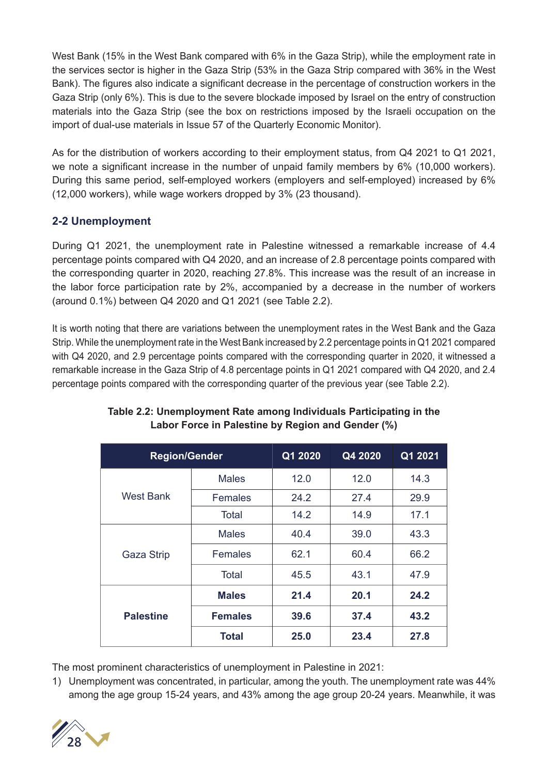West Bank (15% in the West Bank compared with 6% in the Gaza Strip), while the employment rate in the services sector is higher in the Gaza Strip (53% in the Gaza Strip compared with 36% in the West Bank). The figures also indicate a significant decrease in the percentage of construction workers in the Gaza Strip (only 6%). This is due to the severe blockade imposed by Israel on the entry of construction materials into the Gaza Strip (see the box on restrictions imposed by the Israeli occupation on the import of dual-use materials in Issue 57 of the Quarterly Economic Monitor).

As for the distribution of workers according to their employment status, from Q4 2021 to Q1 2021, we note a significant increase in the number of unpaid family members by 6% (10,000 workers). During this same period, self-employed workers (employers and self-employed) increased by 6% (12,000 workers), while wage workers dropped by 3% (23 thousand).

#### **2-2 Unemployment**

During Q1 2021, the unemployment rate in Palestine witnessed a remarkable increase of 4.4 percentage points compared with Q4 2020, and an increase of 2.8 percentage points compared with the corresponding quarter in 2020, reaching 27.8%. This increase was the result of an increase in the labor force participation rate by 2%, accompanied by a decrease in the number of workers (around 0.1%) between Q4 2020 and Q1 2021 (see Table 2.2).

It is worth noting that there are variations between the unemployment rates in the West Bank and the Gaza Strip. While the unemployment rate in the West Bank increased by 2.2 percentage points in Q1 2021 compared with Q4 2020, and 2.9 percentage points compared with the corresponding quarter in 2020, it witnessed a remarkable increase in the Gaza Strip of 4.8 percentage points in Q1 2021 compared with Q4 2020, and 2.4 percentage points compared with the corresponding quarter of the previous year (see Table 2.2).

| <b>Region/Gender</b> |                | Q1 2020 | Q4 2020 | Q1 2021 |
|----------------------|----------------|---------|---------|---------|
|                      | <b>Males</b>   | 12.0    | 12.0    | 14.3    |
| West Bank            | <b>Females</b> | 24.2    | 27.4    | 29.9    |
|                      | <b>Total</b>   | 14.2    | 14.9    | 17.1    |
|                      | <b>Males</b>   | 40.4    | 39.0    | 43.3    |
| <b>Gaza Strip</b>    | <b>Females</b> | 62.1    | 60.4    | 66.2    |
|                      | Total          | 45.5    | 43.1    | 47.9    |
|                      | <b>Males</b>   | 21.4    | 20.1    | 24.2    |
| <b>Palestine</b>     | <b>Females</b> | 39.6    | 37.4    | 43.2    |
|                      | <b>Total</b>   | 25.0    | 23.4    | 27.8    |

#### **Table 2.2: Unemployment Rate among Individuals Participating in the Labor Force in Palestine by Region and Gender (%)**

The most prominent characteristics of unemployment in Palestine in 2021:

1) Unemployment was concentrated, in particular, among the youth. The unemployment rate was 44% among the age group 15-24 years, and 43% among the age group 20-24 years. Meanwhile, it was

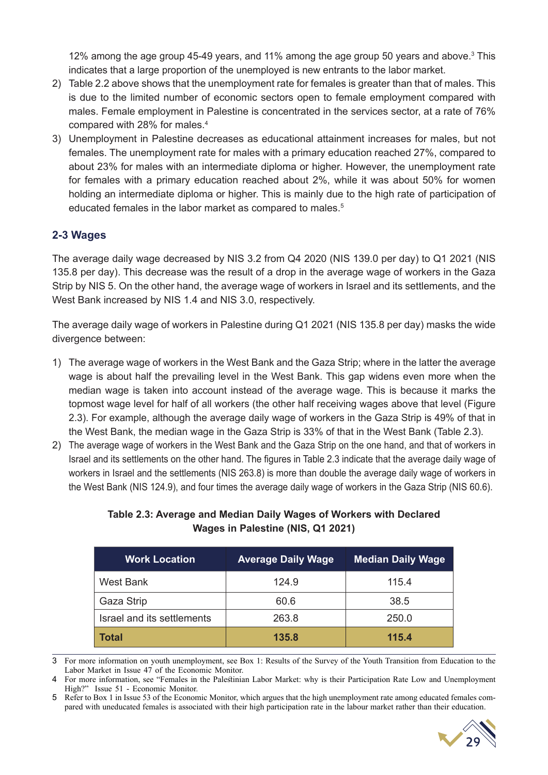12% among the age group 45-49 years, and 11% among the age group 50 years and above. $3$  This indicates that a large proportion of the unemployed is new entrants to the labor market.

- 2) Table 2.2 above shows that the unemployment rate for females is greater than that of males. This is due to the limited number of economic sectors open to female employment compared with males. Female employment in Palestine is concentrated in the services sector, at a rate of 76% compared with 28% for males.4
- 3) Unemployment in Palestine decreases as educational attainment increases for males, but not females. The unemployment rate for males with a primary education reached 27%, compared to about 23% for males with an intermediate diploma or higher. However, the unemployment rate for females with a primary education reached about 2%, while it was about 50% for women holding an intermediate diploma or higher. This is mainly due to the high rate of participation of educated females in the labor market as compared to males.<sup>5</sup>

#### **2-3 Wages**

The average daily wage decreased by NIS 3.2 from Q4 2020 (NIS 139.0 per day) to Q1 2021 (NIS 135.8 per day). This decrease was the result of a drop in the average wage of workers in the Gaza Strip by NIS 5. On the other hand, the average wage of workers in Israel and its settlements, and the West Bank increased by NIS 1.4 and NIS 3.0, respectively.

The average daily wage of workers in Palestine during Q1 2021 (NIS 135.8 per day) masks the wide divergence between:

- 1) The average wage of workers in the West Bank and the Gaza Strip; where in the latter the average wage is about half the prevailing level in the West Bank. This gap widens even more when the median wage is taken into account instead of the average wage. This is because it marks the topmost wage level for half of all workers (the other half receiving wages above that level (Figure 2.3). For example, although the average daily wage of workers in the Gaza Strip is 49% of that in the West Bank, the median wage in the Gaza Strip is 33% of that in the West Bank (Table 2.3).
- 2) The average wage of workers in the West Bank and the Gaza Strip on the one hand, and that of workers in Israel and its settlements on the other hand. The figures in Table 2.3 indicate that the average daily wage of workers in Israel and the settlements (NIS 263.8) is more than double the average daily wage of workers in the West Bank (NIS 124.9), and four times the average daily wage of workers in the Gaza Strip (NIS 60.6).

| <b>Work Location</b>       | <b>Average Daily Wage</b> | <b>Median Daily Wage</b> |
|----------------------------|---------------------------|--------------------------|
| West Bank                  | 124.9                     | 115.4                    |
| Gaza Strip                 | 60.6                      | 38.5                     |
| Israel and its settlements | 263.8                     | 250.0                    |
| <b>Total</b>               | 135.8                     | 115.4                    |

#### **Table 2.3: Average and Median Daily Wages of Workers with Declared Wages in Palestine (NIS, Q1 2021)**

3 For more information on youth unemployment, see Box 1: Results of the Survey of the Youth Transition from Education to the Labor Market in Issue 47 of the Economic Monitor.

4 For more information, see "Females in the Palestinian Labor Market: why is their Participation Rate Low and Unemployment High?" Issue 51 - Economic Monitor.

<sup>5</sup> Refer to Box 1 in Issue 53 of the Economic Monitor, which argues that the high unemployment rate among educated females compared with uneducated females is associated with their high participation rate in the labour market rather than their education.

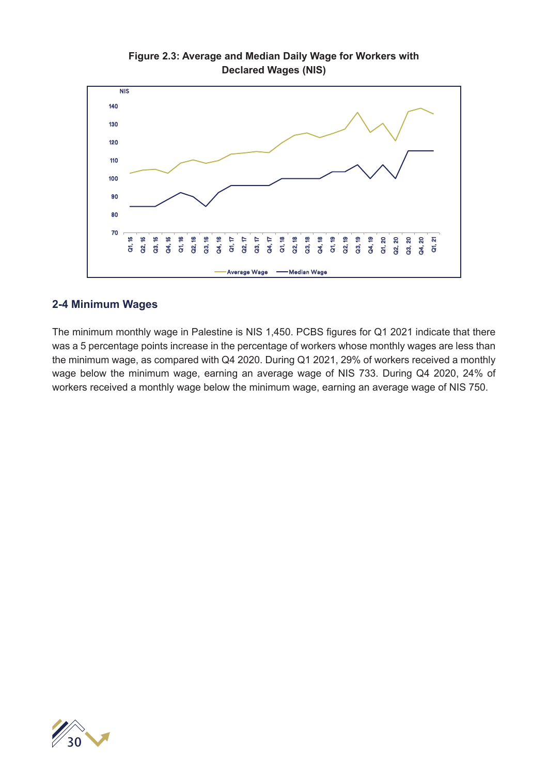

#### **Figure 2.3: Average and Median Daily Wage for Workers with Declared Wages (NIS)**

#### **2-4 Minimum Wages**

The minimum monthly wage in Palestine is NIS 1,450. PCBS figures for Q1 2021 indicate that there was a 5 percentage points increase in the percentage of workers whose monthly wages are less than the minimum wage, as compared with Q4 2020. During Q1 2021, 29% of workers received a monthly wage below the minimum wage, earning an average wage of NIS 733. During Q4 2020, 24% of workers received a monthly wage below the minimum wage, earning an average wage of NIS 750.

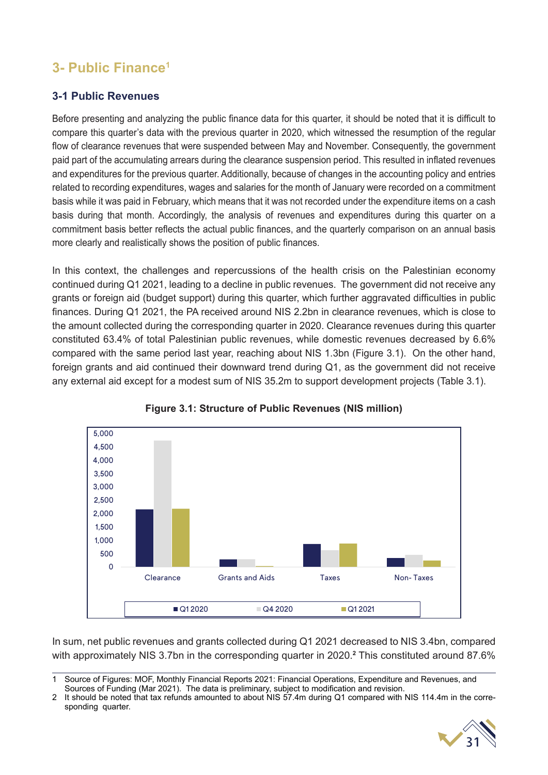## **3- Public Finance1**

#### **3-1 Public Revenues**

Before presenting and analyzing the public finance data for this quarter, it should be noted that it is difficult to compare this quarter's data with the previous quarter in 2020, which witnessed the resumption of the regular flow of clearance revenues that were suspended between May and November. Consequently, the government paid part of the accumulating arrears during the clearance suspension period. This resulted in inflated revenues and expenditures for the previous quarter. Additionally, because of changes in the accounting policy and entries related to recording expenditures, wages and salaries for the month of January were recorded on a commitment basis while it was paid in February, which means that it was not recorded under the expenditure items on a cash basis during that month. Accordingly, the analysis of revenues and expenditures during this quarter on a commitment basis better reflects the actual public finances, and the quarterly comparison on an annual basis more clearly and realistically shows the position of public finances.

In this context, the challenges and repercussions of the health crisis on the Palestinian economy continued during Q1 2021, leading to a decline in public revenues. The government did not receive any grants or foreign aid (budget support) during this quarter, which further aggravated difficulties in public finances. During Q1 2021, the PA received around NIS 2.2bn in clearance revenues, which is close to the amount collected during the corresponding quarter in 2020. Clearance revenues during this quarter constituted 63.4% of total Palestinian public revenues, while domestic revenues decreased by 6.6% compared with the same period last year, reaching about NIS 1.3bn (Figure 3.1). On the other hand, foreign grants and aid continued their downward trend during Q1, as the government did not receive any external aid except for a modest sum of NIS 35.2m to support development projects (Table 3.1).





In sum, net public revenues and grants collected during Q1 2021 decreased to NIS 3.4bn, compared with approximately NIS 3.7bn in the corresponding quarter in 2020.**<sup>2</sup>** This constituted around 87.6%

<sup>2</sup> It should be noted that tax refunds amounted to about NIS 57.4m during Q1 compared with NIS 114.4m in the corresponding quarter.



<sup>1</sup> Source of Figures: MOF, Monthly Financial Reports 2021: Financial Operations, Expenditure and Revenues, and Sources of Funding (Mar 2021). The data is preliminary, subject to modification and revision.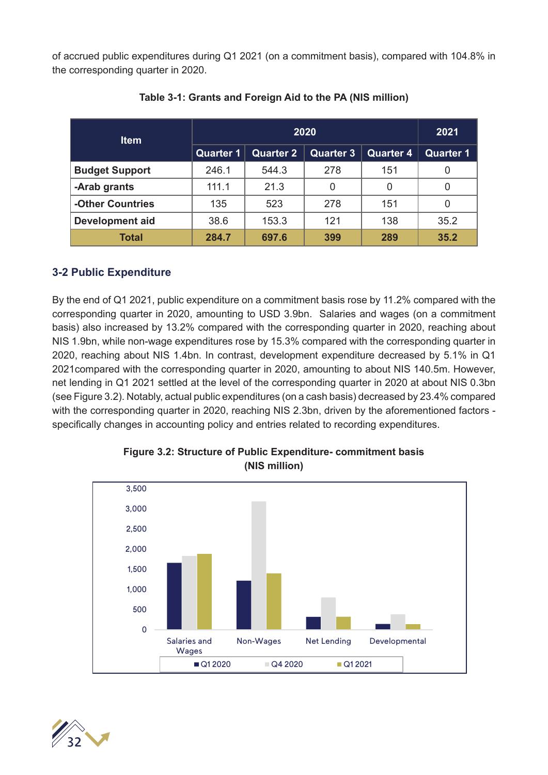of accrued public expenditures during Q1 2021 (on a commitment basis), compared with 104.8% in the corresponding quarter in 2020.

| <b>Item</b>            |                  |           | 2020             |                  | 2021             |
|------------------------|------------------|-----------|------------------|------------------|------------------|
|                        | <b>Quarter 1</b> | Quarter 2 | <b>Quarter 3</b> | <b>Quarter 4</b> | <b>Quarter 1</b> |
| <b>Budget Support</b>  | 246.1            | 544.3     | 278              | 151              |                  |
| -Arab grants           | 111.1            | 21.3      | 0                | 0                |                  |
| -Other Countries       | 135              | 523       | 278              | 151              |                  |
| <b>Development aid</b> | 38.6             | 153.3     | 121              | 138              | 35.2             |
| <b>Total</b>           | 284.7            | 697.6     | 399              | 289              | 35.2             |

#### **Table 3-1: Grants and Foreign Aid to the PA (NIS million)**

#### **3-2 Public Expenditure**

By the end of Q1 2021, public expenditure on a commitment basis rose by 11.2% compared with the corresponding quarter in 2020, amounting to USD 3.9bn. Salaries and wages (on a commitment basis) also increased by 13.2% compared with the corresponding quarter in 2020, reaching about NIS 1.9bn, while non-wage expenditures rose by 15.3% compared with the corresponding quarter in 2020, reaching about NIS 1.4bn. In contrast, development expenditure decreased by 5.1% in Q1 2021compared with the corresponding quarter in 2020, amounting to about NIS 140.5m. However, net lending in Q1 2021 settled at the level of the corresponding quarter in 2020 at about NIS 0.3bn (see Figure 3.2). Notably, actual public expenditures (on a cash basis) decreased by 23.4% compared with the corresponding quarter in 2020, reaching NIS 2.3bn, driven by the aforementioned factors specifically changes in accounting policy and entries related to recording expenditures.



#### **Figure 3.2: Structure of Public Expenditure- commitment basis (NIS million)**

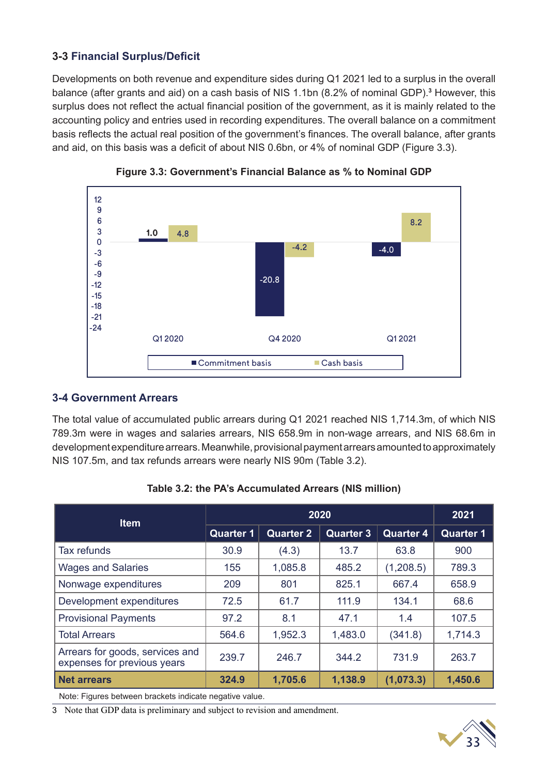#### **3-3 Financial Surplus/Deficit**

Developments on both revenue and expenditure sides during Q1 2021 led to a surplus in the overall balance (after grants and aid) on a cash basis of NIS 1.1bn (8.2% of nominal GDP).<sup>3</sup> However, this surplus does not reflect the actual financial position of the government, as it is mainly related to the accounting policy and entries used in recording expenditures. The overall balance on a commitment basis reflects the actual real position of the government's finances. The overall balance, after grants and aid, on this basis was a deficit of about NIS 0.6bn, or 4% of nominal GDP (Figure 3.3).





#### **3-4 Government Arrears**

The total value of accumulated public arrears during Q1 2021 reached NIS 1,714.3m, of which NIS 789.3m were in wages and salaries arrears, NIS 658.9m in non-wage arrears, and NIS 68.6m in development expenditure arrears. Meanwhile, provisional payment arrears amounted to approximately NIS 107.5m, and tax refunds arrears were nearly NIS 90m (Table 3.2).

| <b>Item</b>                                                    |                  | 2020             |                  |                  | 2021             |
|----------------------------------------------------------------|------------------|------------------|------------------|------------------|------------------|
|                                                                | <b>Quarter 1</b> | <b>Quarter 2</b> | <b>Quarter 3</b> | <b>Quarter 4</b> | <b>Quarter 1</b> |
| <b>Tax refunds</b>                                             | 30.9             | (4.3)            | 13.7             | 63.8             | 900              |
| <b>Wages and Salaries</b>                                      | 155              | 1,085.8          | 485.2            | (1, 208.5)       | 789.3            |
| Nonwage expenditures                                           | 209              | 801              | 825.1            | 667.4            | 658.9            |
| Development expenditures                                       | 72.5             | 61.7             | 111.9            | 134.1            | 68.6             |
| <b>Provisional Payments</b>                                    | 97.2             | 8.1              | 47.1             | 1.4              | 107.5            |
| <b>Total Arrears</b>                                           | 564.6            | 1,952.3          | 1,483.0          | (341.8)          | 1,714.3          |
| Arrears for goods, services and<br>expenses for previous years | 239.7            | 246.7            | 344.2            | 731.9            | 263.7            |
| <b>Net arrears</b>                                             | 324.9            | 1,705.6          | 1,138.9          | (1,073.3)        | 1,450.6          |

**Table 3.2: the PA's Accumulated Arrears (NIS million)**

Note: Figures between brackets indicate negative value.

3 Note that GDP data is preliminary and subject to revision and amendment.

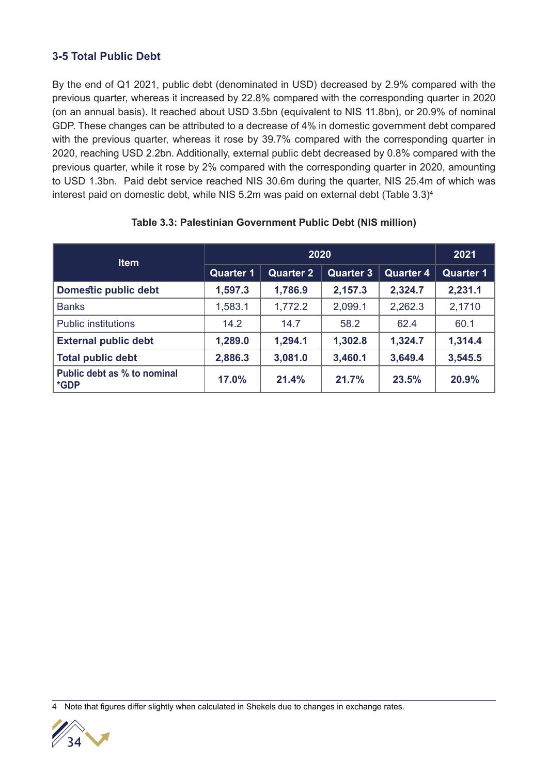#### **3-5 Total Public Debt**

By the end of Q1 2021, public debt (denominated in USD) decreased by 2.9% compared with the previous quarter, whereas it increased by 22.8% compared with the corresponding quarter in 2020 (on an annual basis). It reached about USD 3.5bn (equivalent to NIS 11.8bn), or 20.9% of nominal GDP. These changes can be attributed to a decrease of 4% in domestic government debt compared with the previous quarter, whereas it rose by 39.7% compared with the corresponding quarter in 2020, reaching USD 2.2bn. Additionally, external public debt decreased by 0.8% compared with the previous quarter, while it rose by 2% compared with the corresponding quarter in 2020, amounting to USD 1.3bn. Paid debt service reached NIS 30.6m during the quarter, NIS 25.4m of which was interest paid on domestic debt, while NIS 5.2m was paid on external debt (Table 3.3)<sup>4</sup>

| <b>Item</b>                         |                  | 2020             |                  |                  | 2021             |
|-------------------------------------|------------------|------------------|------------------|------------------|------------------|
|                                     | <b>Quarter 1</b> | <b>Quarter 2</b> | <b>Quarter 3</b> | <b>Quarter 4</b> | <b>Quarter 1</b> |
| <b>Domestic public debt</b>         | 1,597.3          | 1,786.9          | 2,157.3          | 2,324.7          | 2,231.1          |
| <b>Banks</b>                        | 1,583.1          | 1,772.2          | 2,099.1          | 2,262.3          | 2,1710           |
| <b>Public institutions</b>          | 14.2             | 14.7             | 58.2             | 62.4             | 60.1             |
| <b>External public debt</b>         | 1,289.0          | 1,294.1          | 1,302.8          | 1,324.7          | 1,314.4          |
| <b>Total public debt</b>            | 2,886.3          | 3,081.0          | 3,460.1          | 3,649.4          | 3,545.5          |
| Public debt as % to nominal<br>*GDP | 17.0%            | 21.4%            | 21.7%            | 23.5%            | 20.9%            |

#### **Table 3.3: Palestinian Government Public Debt (NIS million)**

4 Note that figures differ slightly when calculated in Shekels due to changes in exchange rates.

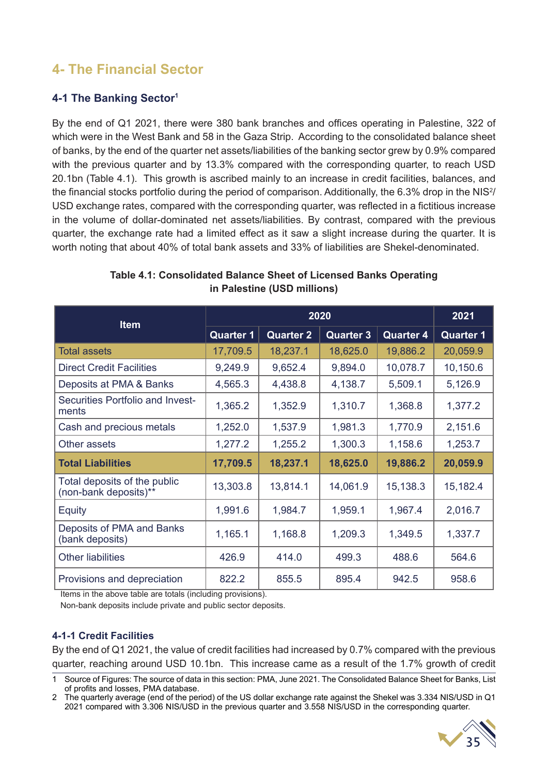## **4- The Financial Sector**

#### **4-1 The Banking Sector1**

By the end of Q1 2021, there were 380 bank branches and offices operating in Palestine, 322 of which were in the West Bank and 58 in the Gaza Strip. According to the consolidated balance sheet of banks, by the end of the quarter net assets/liabilities of the banking sector grew by 0.9% compared with the previous quarter and by 13.3% compared with the corresponding quarter, to reach USD 20.1bn (Table 4.1). This growth is ascribed mainly to an increase in credit facilities, balances, and the financial stocks portfolio during the period of comparison. Additionally, the 6.3% drop in the NIS<sup>2</sup>/ USD exchange rates, compared with the corresponding quarter, was reflected in a fictitious increase in the volume of dollar-dominated net assets/liabilities. By contrast, compared with the previous quarter, the exchange rate had a limited effect as it saw a slight increase during the quarter. It is worth noting that about 40% of total bank assets and 33% of liabilities are Shekel-denominated.

| <b>Item</b>                                           |                               | 2020             |                  |                  |                  |  |  |  |
|-------------------------------------------------------|-------------------------------|------------------|------------------|------------------|------------------|--|--|--|
|                                                       | <b>Quarter 1</b>              | <b>Quarter 2</b> | <b>Quarter 3</b> | <b>Quarter 4</b> | <b>Quarter 1</b> |  |  |  |
| <b>Total assets</b>                                   | 17,709.5                      | 18,237.1         | 18,625.0         | 19,886.2         | 20,059.9         |  |  |  |
| <b>Direct Credit Facilities</b>                       | 9,249.9                       | 9,652.4          | 9,894.0          | 10,078.7         | 10,150.6         |  |  |  |
| Deposits at PMA & Banks                               | 4,565.3                       | 4,438.8          | 4,138.7          | 5,509.1          | 5,126.9          |  |  |  |
| Securities Portfolio and Invest-<br>ments             | 1,365.2                       | 1,352.9          | 1,310.7          | 1,368.8          | 1,377.2          |  |  |  |
| Cash and precious metals                              | 1,252.0                       | 1,537.9          | 1,981.3          | 1,770.9          | 2,151.6          |  |  |  |
| Other assets                                          | 1,277.2<br>1,255.2<br>1,300.3 |                  | 1,158.6          | 1,253.7          |                  |  |  |  |
| <b>Total Liabilities</b>                              | 17,709.5                      | 18,237.1         | 18,625.0         | 19,886.2         | 20,059.9         |  |  |  |
| Total deposits of the public<br>(non-bank deposits)** | 13,303.8                      | 13,814.1         | 14,061.9         | 15,138.3         | 15,182.4         |  |  |  |
| <b>Equity</b>                                         | 1,991.6                       | 1,984.7          | 1,959.1          | 1,967.4          | 2,016.7          |  |  |  |
| Deposits of PMA and Banks<br>(bank deposits)          | 1,165.1                       | 1,168.8          | 1,209.3          | 1,349.5          | 1,337.7          |  |  |  |
| <b>Other liabilities</b>                              | 426.9                         | 414.0            | 499.3            | 488.6            | 564.6            |  |  |  |
| Provisions and depreciation                           | 822.2                         | 855.5            | 895.4            | 942.5            | 958.6            |  |  |  |

#### **Table 4.1: Consolidated Balance Sheet of Licensed Banks Operating in Palestine (USD millions)**

Items in the above table are totals (including provisions).

Non-bank deposits include private and public sector deposits.

#### **4-1-1 Credit Facilities**

By the end of Q1 2021, the value of credit facilities had increased by 0.7% compared with the previous quarter, reaching around USD 10.1bn. This increase came as a result of the 1.7% growth of credit

<sup>2</sup> The quarterly average (end of the period) of the US dollar exchange rate against the Shekel was 3.334 NIS/USD in Q1 2021 compared with 3.306 NIS/USD in the previous quarter and 3.558 NIS/USD in the corresponding quarter.



<sup>1</sup> Source of Figures: The source of data in this section: PMA, June 2021. The Consolidated Balance Sheet for Banks, List of profits and losses, PMA database.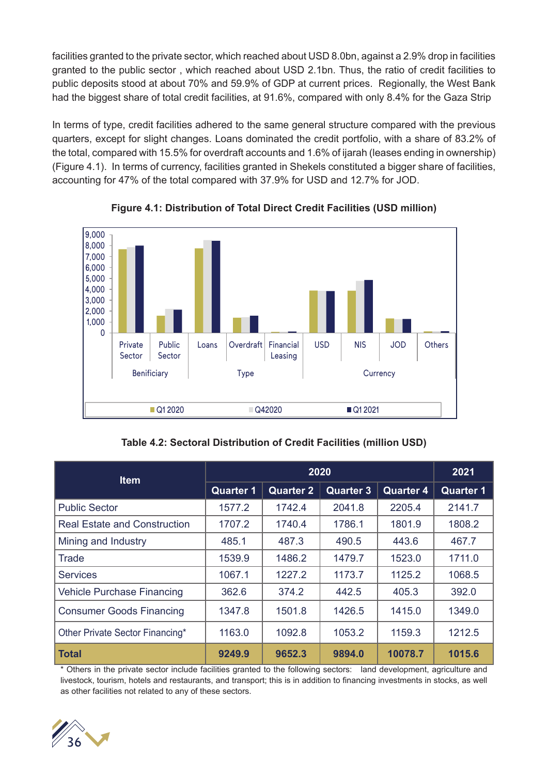facilities granted to the private sector, which reached about USD 8.0bn, against a 2.9% drop in facilities granted to the public sector , which reached about USD 2.1bn. Thus, the ratio of credit facilities to public deposits stood at about 70% and 59.9% of GDP at current prices. Regionally, the West Bank had the biggest share of total credit facilities, at 91.6%, compared with only 8.4% for the Gaza Strip

In terms of type, credit facilities adhered to the same general structure compared with the previous quarters, except for slight changes. Loans dominated the credit portfolio, with a share of 83.2% of the total, compared with 15.5% for overdraft accounts and 1.6% of ijarah (leases ending in ownership) (Figure 4.1). In terms of currency, facilities granted in Shekels constituted a bigger share of facilities, accounting for 47% of the total compared with 37.9% for USD and 12.7% for JOD.



**Figure 4.1: Distribution of Total Direct Credit Facilities (USD million)**

| <b>Item</b>                         |                  | 2021             |                  |                  |                  |
|-------------------------------------|------------------|------------------|------------------|------------------|------------------|
|                                     | <b>Quarter 1</b> | <b>Quarter 2</b> | <b>Quarter 3</b> | <b>Quarter 4</b> | <b>Quarter 1</b> |
| <b>Public Sector</b>                | 1577.2           | 1742.4           | 2041.8           | 2205.4           | 2141.7           |
| <b>Real Estate and Construction</b> | 1707.2           | 1740.4           | 1786.1           | 1801.9           | 1808.2           |
| Mining and Industry                 | 485.1            | 487.3            | 490.5            | 443.6            | 467.7            |
| Trade                               | 1539.9           | 1486.2           | 1479.7           | 1523.0           | 1711.0           |
| <b>Services</b>                     | 1067.1           | 1227.2           | 1173.7           | 1125.2           | 1068.5           |
| <b>Vehicle Purchase Financing</b>   | 362.6            | 374.2            | 442.5            | 405.3            | 392.0            |
| <b>Consumer Goods Financing</b>     | 1347.8           | 1501.8           | 1426.5           | 1415.0           | 1349.0           |
| Other Private Sector Financing*     | 1163.0           | 1092.8           | 1053.2           | 1159.3           | 1212.5           |
| <b>Total</b>                        | 9249.9           | 9652.3           | 9894.0           | 10078.7          | 1015.6           |

\* Others in the private sector include facilities granted to the following sectors: land development, agriculture and livestock, tourism, hotels and restaurants, and transport; this is in addition to financing investments in stocks, as well as other facilities not related to any of these sectors.

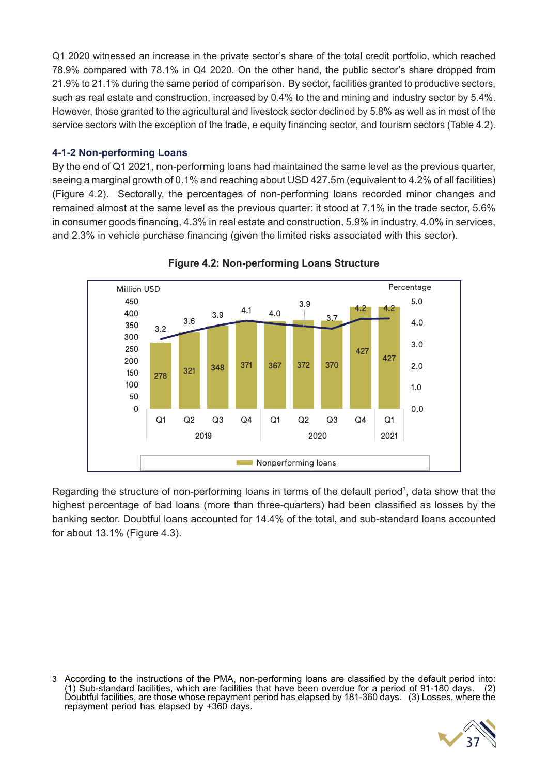Q1 2020 witnessed an increase in the private sector's share of the total credit portfolio, which reached 78.9% compared with 78.1% in Q4 2020. On the other hand, the public sector's share dropped from 21.9% to 21.1% during the same period of comparison. By sector, facilities granted to productive sectors, such as real estate and construction, increased by 0.4% to the and mining and industry sector by 5.4%. However, those granted to the agricultural and livestock sector declined by 5.8% as well as in most of the service sectors with the exception of the trade, e equity financing sector, and tourism sectors (Table 4.2).

#### **4-1-2 Non-performing Loans**

By the end of Q1 2021, non-performing loans had maintained the same level as the previous quarter, seeing a marginal growth of 0.1% and reaching about USD 427.5m (equivalent to 4.2% of all facilities) (Figure 4.2). Sectorally, the percentages of non-performing loans recorded minor changes and remained almost at the same level as the previous quarter: it stood at 7.1% in the trade sector, 5.6% in consumer goods financing, 4.3% in real estate and construction, 5.9% in industry, 4.0% in services, and 2.3% in vehicle purchase financing (given the limited risks associated with this sector).





Regarding the structure of non-performing loans in terms of the default period<sup>3</sup>, data show that the highest percentage of bad loans (more than three-quarters) had been classified as losses by the banking sector. Doubtful loans accounted for 14.4% of the total, and sub-standard loans accounted for about 13.1% (Figure 4.3).

<sup>3</sup> According to the instructions of the PMA, non-performing loans are classified by the default period into: (1) Sub-standard facilities, which are facilities that have been overdue for a period of 91-180 days. (2) Doubtful facilities, are those whose repayment period has elapsed by 181-360 days. (3) Losses, where the repayment period has elapsed by +360 days.

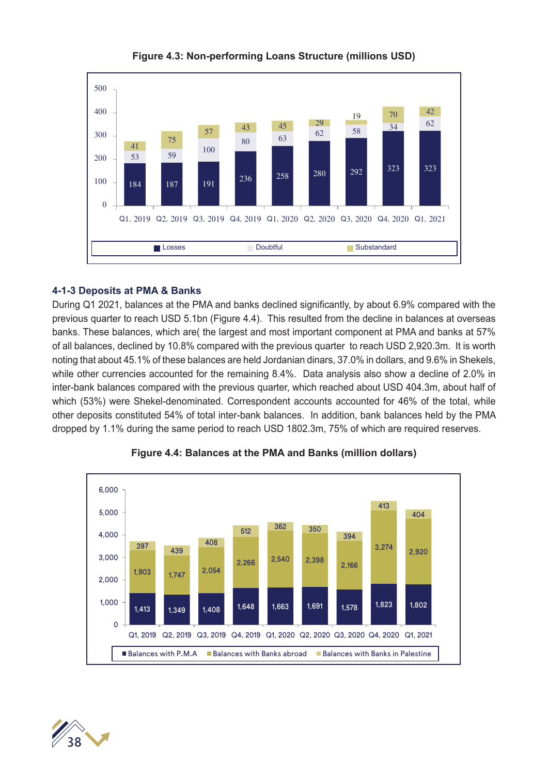

**Figure 4.3: Non-performing Loans Structure (millions USD)**

#### **4-1-3 Deposits at PMA & Banks**

During Q1 2021, balances at the PMA and banks declined significantly, by about 6.9% compared with the previous quarter to reach USD 5.1bn (Figure 4.4). This resulted from the decline in balances at overseas banks. These balances, which are( the largest and most important component at PMA and banks at 57% of all balances, declined by 10.8% compared with the previous quarter to reach USD 2,920.3m. It is worth noting that about 45.1% of these balances are held Jordanian dinars, 37.0% in dollars, and 9.6% in Shekels, while other currencies accounted for the remaining 8.4%. Data analysis also show a decline of 2.0% in inter-bank balances compared with the previous quarter, which reached about USD 404.3m, about half of which (53%) were Shekel-denominated. Correspondent accounts accounted for 46% of the total, while other deposits constituted 54% of total inter-bank balances. In addition, bank balances held by the PMA dropped by 1.1% during the same period to reach USD 1802.3m, 75% of which are required reserves.



#### **Figure 4.4: Balances at the PMA and Banks (million dollars)**

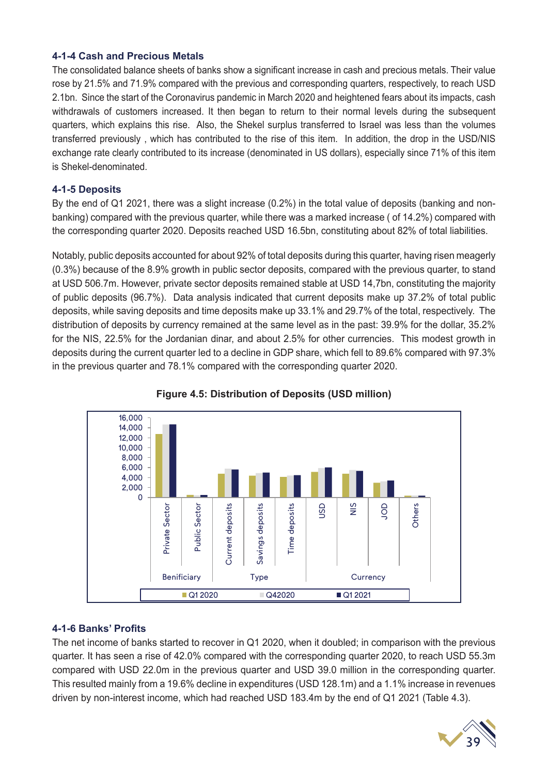#### **4-1-4 Cash and Precious Metals**

The consolidated balance sheets of banks show a significant increase in cash and precious metals. Their value rose by 21.5% and 71.9% compared with the previous and corresponding quarters, respectively, to reach USD 2.1bn. Since the start of the Coronavirus pandemic in March 2020 and heightened fears about its impacts, cash withdrawals of customers increased. It then began to return to their normal levels during the subsequent quarters, which explains this rise. Also, the Shekel surplus transferred to Israel was less than the volumes transferred previously , which has contributed to the rise of this item. In addition, the drop in the USD/NIS exchange rate clearly contributed to its increase (denominated in US dollars), especially since 71% of this item is Shekel-denominated.

#### **4-1-5 Deposits**

By the end of Q1 2021, there was a slight increase (0.2%) in the total value of deposits (banking and nonbanking) compared with the previous quarter, while there was a marked increase ( of 14.2%) compared with the corresponding quarter 2020. Deposits reached USD 16.5bn, constituting about 82% of total liabilities.

Notably, public deposits accounted for about 92% of total deposits during this quarter, having risen meagerly (0.3%) because of the 8.9% growth in public sector deposits, compared with the previous quarter, to stand at USD 506.7m. However, private sector deposits remained stable at USD 14,7bn, constituting the majority of public deposits (96.7%). Data analysis indicated that current deposits make up 37.2% of total public deposits, while saving deposits and time deposits make up 33.1% and 29.7% of the total, respectively. The distribution of deposits by currency remained at the same level as in the past: 39.9% for the dollar, 35.2% for the NIS, 22.5% for the Jordanian dinar, and about 2.5% for other currencies. This modest growth in deposits during the current quarter led to a decline in GDP share, which fell to 89.6% compared with 97.3% in the previous quarter and 78.1% compared with the corresponding quarter 2020.





#### **4-1-6 Banks' Profits**

The net income of banks started to recover in Q1 2020, when it doubled; in comparison with the previous quarter. It has seen a rise of 42.0% compared with the corresponding quarter 2020, to reach USD 55.3m compared with USD 22.0m in the previous quarter and USD 39.0 million in the corresponding quarter. This resulted mainly from a 19.6% decline in expenditures (USD 128.1m) and a 1.1% increase in revenues driven by non-interest income, which had reached USD 183.4m by the end of Q1 2021 (Table 4.3).

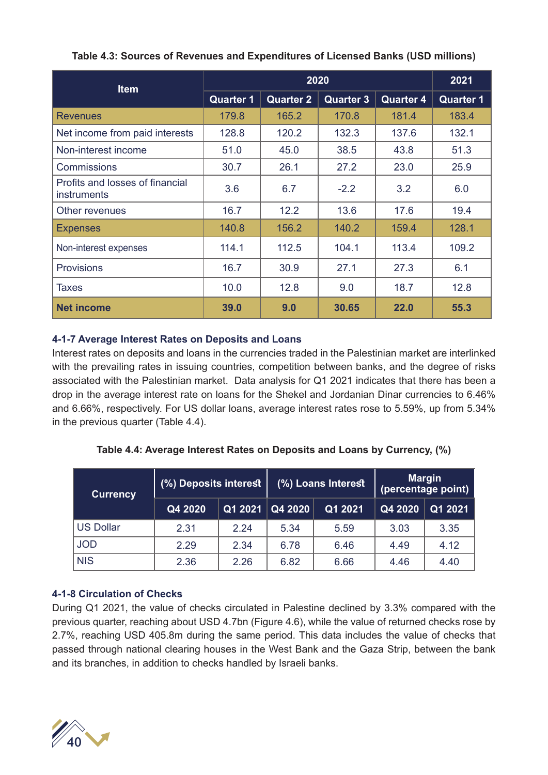| <b>Item</b>                                    |                  | 2021             |                  |                  |                  |
|------------------------------------------------|------------------|------------------|------------------|------------------|------------------|
|                                                | <b>Quarter 1</b> | <b>Quarter 2</b> | <b>Quarter 3</b> | <b>Quarter 4</b> | <b>Quarter 1</b> |
| <b>Revenues</b>                                | 179.8            | 165.2            | 170.8            | 181.4            | 183.4            |
| Net income from paid interests                 | 128.8            | 120.2            | 132.3            | 137.6            | 132.1            |
| Non-interest income                            | 51.0             | 45.0             | 38.5             | 43.8             | 51.3             |
| Commissions                                    | 30.7             | 26.1<br>27.2     |                  | 23.0             | 25.9             |
| Profits and losses of financial<br>instruments | 3.6              | 6.7              | $-2.2$           | 3.2              | 6.0              |
| Other revenues                                 | 16.7             | 12.2             | 13.6             | 17.6             | 19.4             |
| <b>Expenses</b>                                | 140.8            | 156.2            | 140.2            | 159.4            | 128.1            |
| Non-interest expenses                          | 114.1            | 112.5            | 104.1            | 113.4            | 109.2            |
| <b>Provisions</b>                              | 16.7             | 30.9             | 27.1             | 27.3             | 6.1              |
| Taxes                                          | 10.0             | 12.8             | 9.0              | 18.7             | 12.8             |
| <b>Net income</b>                              | 39.0             | 9.0              | 30.65            | 22.0             | 55.3             |

#### **Table 4.3: Sources of Revenues and Expenditures of Licensed Banks (USD millions)**

#### **4-1-7 Average Interest Rates on Deposits and Loans**

Interest rates on deposits and loans in the currencies traded in the Palestinian market are interlinked with the prevailing rates in issuing countries, competition between banks, and the degree of risks associated with the Palestinian market. Data analysis for Q1 2021 indicates that there has been a drop in the average interest rate on loans for the Shekel and Jordanian Dinar currencies to 6.46% and 6.66%, respectively. For US dollar loans, average interest rates rose to 5.59%, up from 5.34% in the previous quarter (Table 4.4).

| <b>Currency</b>  | (%) Deposits interest |         |         | (%) Loans Interest | <b>Margin</b><br>(percentage point) |         |  |
|------------------|-----------------------|---------|---------|--------------------|-------------------------------------|---------|--|
|                  | Q4 2020               | Q1 2021 | Q4 2020 | Q1 2021            | Q4 2020                             | Q1 2021 |  |
| <b>US Dollar</b> | 2.31                  | 2.24    | 5.34    | 5.59               | 3.03                                | 3.35    |  |
| <b>JOD</b>       | 2.29                  | 2.34    | 6.78    | 6.46               | 4.49                                | 4.12    |  |
| <b>NIS</b>       | 2.36                  | 2.26    | 6.82    | 6.66               | 4.46                                | 4.40    |  |

#### **Table 4.4: Average Interest Rates on Deposits and Loans by Currency, (%)**

#### **4-1-8 Circulation of Checks**

During Q1 2021, the value of checks circulated in Palestine declined by 3.3% compared with the previous quarter, reaching about USD 4.7bn (Figure 4.6), while the value of returned checks rose by 2.7%, reaching USD 405.8m during the same period. This data includes the value of checks that passed through national clearing houses in the West Bank and the Gaza Strip, between the bank and its branches, in addition to checks handled by Israeli banks.

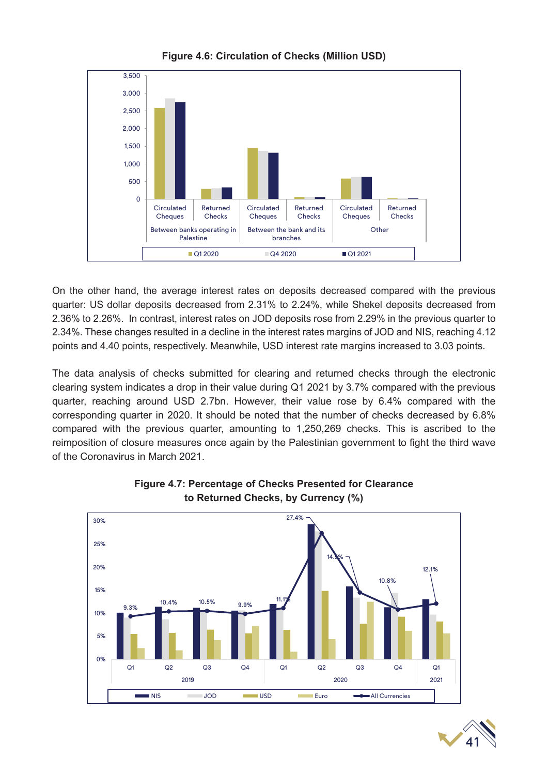

**Figure 4.6: Circulation of Checks (Million USD)**

On the other hand, the average interest rates on deposits decreased compared with the previous quarter: US dollar deposits decreased from 2.31% to 2.24%, while Shekel deposits decreased from 2.36% to 2.26%. In contrast, interest rates on JOD deposits rose from 2.29% in the previous quarter to 2.34%. These changes resulted in a decline in the interest rates margins of JOD and NIS, reaching 4.12 points and 4.40 points, respectively. Meanwhile, USD interest rate margins increased to 3.03 points.

The data analysis of checks submitted for clearing and returned checks through the electronic clearing system indicates a drop in their value during Q1 2021 by 3.7% compared with the previous quarter, reaching around USD 2.7bn. However, their value rose by 6.4% compared with the corresponding quarter in 2020. It should be noted that the number of checks decreased by 6.8% compared with the previous quarter, amounting to 1,250,269 checks. This is ascribed to the reimposition of closure measures once again by the Palestinian government to fight the third wave of the Coronavirus in March 2021.





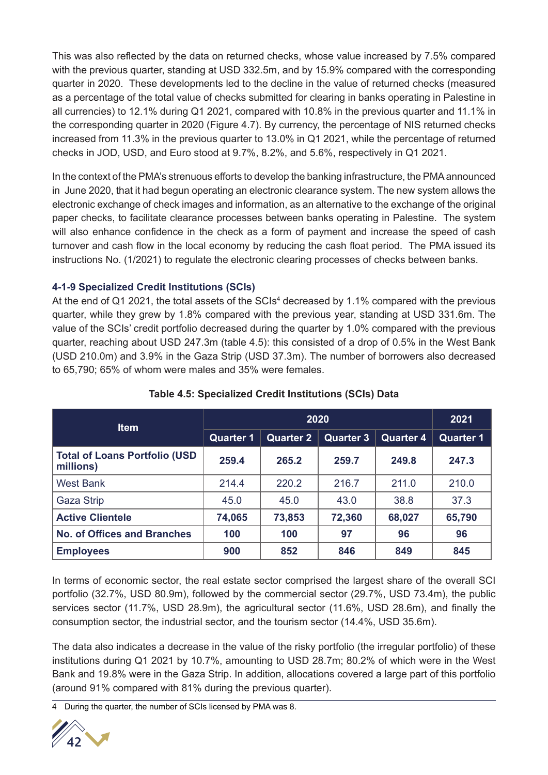This was also reflected by the data on returned checks, whose value increased by 7.5% compared with the previous quarter, standing at USD 332.5m, and by 15.9% compared with the corresponding quarter in 2020. These developments led to the decline in the value of returned checks (measured as a percentage of the total value of checks submitted for clearing in banks operating in Palestine in all currencies) to 12.1% during Q1 2021, compared with 10.8% in the previous quarter and 11.1% in the corresponding quarter in 2020 (Figure 4.7). By currency, the percentage of NIS returned checks increased from 11.3% in the previous quarter to 13.0% in Q1 2021, while the percentage of returned checks in JOD, USD, and Euro stood at 9.7%, 8.2%, and 5.6%, respectively in Q1 2021.

In the context of the PMA's strenuous efforts to develop the banking infrastructure, the PMA announced in June 2020, that it had begun operating an electronic clearance system. The new system allows the electronic exchange of check images and information, as an alternative to the exchange of the original paper checks, to facilitate clearance processes between banks operating in Palestine. The system will also enhance confidence in the check as a form of payment and increase the speed of cash turnover and cash flow in the local economy by reducing the cash float period. The PMA issued its instructions No. (1/2021) to regulate the electronic clearing processes of checks between banks.

#### **4-1-9 Specialized Credit Institutions (SCIs)**

At the end of Q1 2021, the total assets of the SCIs<sup>4</sup> decreased by 1.1% compared with the previous quarter, while they grew by 1.8% compared with the previous year, standing at USD 331.6m. The value of the SCIs' credit portfolio decreased during the quarter by 1.0% compared with the previous quarter, reaching about USD 247.3m (table 4.5): this consisted of a drop of 0.5% in the West Bank (USD 210.0m) and 3.9% in the Gaza Strip (USD 37.3m). The number of borrowers also decreased to 65,790; 65% of whom were males and 35% were females.

| <b>Item</b>                                        |                  | 2021                                 |          |                  |                  |
|----------------------------------------------------|------------------|--------------------------------------|----------|------------------|------------------|
|                                                    | <b>Quarter 1</b> | <b>Quarter 2</b><br><b>Quarter 3</b> |          | <b>Quarter 4</b> | <b>Quarter 1</b> |
| <b>Total of Loans Portfolio (USD)</b><br>millions) | 259.4            | 265.2                                | 259.7    | 249.8            | 247.3            |
| <b>West Bank</b>                                   | 214.4            | 220.2                                | 216.7    | 211.0            | 210.0            |
| Gaza Strip                                         | 45.0             | 45.0                                 | 43.0     | 38.8             | 37.3             |
| <b>Active Clientele</b>                            | 74,065           | 73,853                               | 72,360   | 68,027           | 65,790           |
| <b>No. of Offices and Branches</b>                 | 100              | 100                                  | 97<br>96 |                  | 96               |
| <b>Employees</b>                                   | 900              | 852                                  | 846      | 849              | 845              |

#### **Table 4.5: Specialized Credit Institutions (SCIs) Data**

In terms of economic sector, the real estate sector comprised the largest share of the overall SCI portfolio (32.7%, USD 80.9m), followed by the commercial sector (29.7%, USD 73.4m), the public services sector (11.7%, USD 28.9m), the agricultural sector (11.6%, USD 28.6m), and finally the consumption sector, the industrial sector, and the tourism sector (14.4%, USD 35.6m).

The data also indicates a decrease in the value of the risky portfolio (the irregular portfolio) of these institutions during Q1 2021 by 10.7%, amounting to USD 28.7m; 80.2% of which were in the West Bank and 19.8% were in the Gaza Strip. In addition, allocations covered a large part of this portfolio (around 91% compared with 81% during the previous quarter).

4 During the quarter, the number of SCIs licensed by PMA was 8.

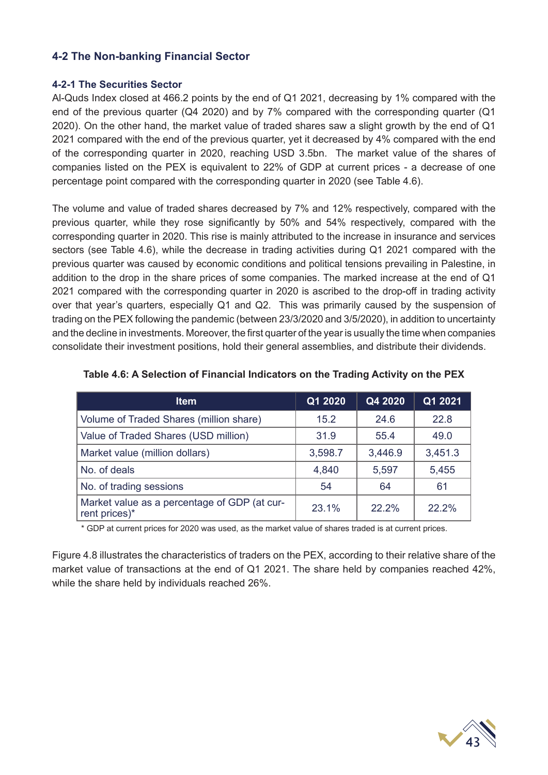#### **4-2 The Non-banking Financial Sector**

#### **4-2-1 The Securities Sector**

Al-Quds Index closed at 466.2 points by the end of Q1 2021, decreasing by 1% compared with the end of the previous quarter (Q4 2020) and by 7% compared with the corresponding quarter (Q1 2020). On the other hand, the market value of traded shares saw a slight growth by the end of Q1 2021 compared with the end of the previous quarter, yet it decreased by 4% compared with the end of the corresponding quarter in 2020, reaching USD 3.5bn. The market value of the shares of companies listed on the PEX is equivalent to 22% of GDP at current prices - a decrease of one percentage point compared with the corresponding quarter in 2020 (see Table 4.6).

The volume and value of traded shares decreased by 7% and 12% respectively, compared with the previous quarter, while they rose significantly by 50% and 54% respectively, compared with the corresponding quarter in 2020. This rise is mainly attributed to the increase in insurance and services sectors (see Table 4.6), while the decrease in trading activities during Q1 2021 compared with the previous quarter was caused by economic conditions and political tensions prevailing in Palestine, in addition to the drop in the share prices of some companies. The marked increase at the end of Q1 2021 compared with the corresponding quarter in 2020 is ascribed to the drop-off in trading activity over that year's quarters, especially Q1 and Q2. This was primarily caused by the suspension of trading on the PEX following the pandemic (between 23/3/2020 and 3/5/2020), in addition to uncertainty and the decline in investments. Moreover, the first quarter of the year is usually the time when companies consolidate their investment positions, hold their general assemblies, and distribute their dividends.

| ltem                                                          | Q1 2020 | Q4 2020 | Q1 2021 |
|---------------------------------------------------------------|---------|---------|---------|
| Volume of Traded Shares (million share)                       | 15.2    | 24.6    | 22.8    |
| Value of Traded Shares (USD million)                          | 31.9    | 55.4    | 49.0    |
| Market value (million dollars)                                | 3,598.7 | 3,446.9 | 3,451.3 |
| No. of deals                                                  | 4,840   | 5,597   | 5,455   |
| No. of trading sessions                                       | 54      | 64      | 61      |
| Market value as a percentage of GDP (at cur-<br>rent prices)* | 23.1%   | 22.2%   | 22.2%   |

#### **Table 4.6: A Selection of Financial Indicators on the Trading Activity on the PEX**

\* GDP at current prices for 2020 was used, as the market value of shares traded is at current prices.

Figure 4.8 illustrates the characteristics of traders on the PEX, according to their relative share of the market value of transactions at the end of Q1 2021. The share held by companies reached 42%, while the share held by individuals reached 26%.

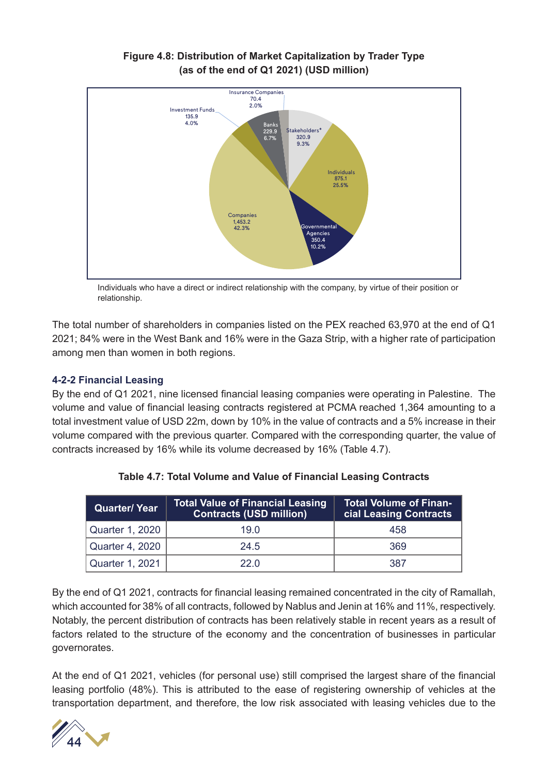

#### **Figure 4.8: Distribution of Market Capitalization by Trader Type (as of the end of Q1 2021) (USD million)**

Individuals who have a direct or indirect relationship with the company, by virtue of their position or relationship.

The total number of shareholders in companies listed on the PEX reached 63,970 at the end of Q1 2021; 84% were in the West Bank and 16% were in the Gaza Strip, with a higher rate of participation among men than women in both regions.

#### **4-2-2 Financial Leasing**

By the end of Q1 2021, nine licensed financial leasing companies were operating in Palestine. The volume and value of financial leasing contracts registered at PCMA reached 1,364 amounting to a total investment value of USD 22m, down by 10% in the value of contracts and a 5% increase in their volume compared with the previous quarter. Compared with the corresponding quarter, the value of contracts increased by 16% while its volume decreased by 16% (Table 4.7).

| Quarter/ Year   | <b>Total Value of Financial Leasing</b><br><b>Contracts (USD million)</b> | <b>Total Volume of Finan-</b><br><b>cial Leasing Contracts</b> |
|-----------------|---------------------------------------------------------------------------|----------------------------------------------------------------|
| Quarter 1, 2020 | 19 O                                                                      | 458                                                            |
| Quarter 4, 2020 | 24.5                                                                      | 369                                                            |
| Quarter 1, 2021 | 22 O                                                                      | 387                                                            |

**Table 4.7: Total Volume and Value of Financial Leasing Contracts**

By the end of Q1 2021, contracts for financial leasing remained concentrated in the city of Ramallah, which accounted for 38% of all contracts, followed by Nablus and Jenin at 16% and 11%, respectively. Notably, the percent distribution of contracts has been relatively stable in recent years as a result of factors related to the structure of the economy and the concentration of businesses in particular governorates.

At the end of Q1 2021, vehicles (for personal use) still comprised the largest share of the financial leasing portfolio (48%). This is attributed to the ease of registering ownership of vehicles at the transportation department, and therefore, the low risk associated with leasing vehicles due to the

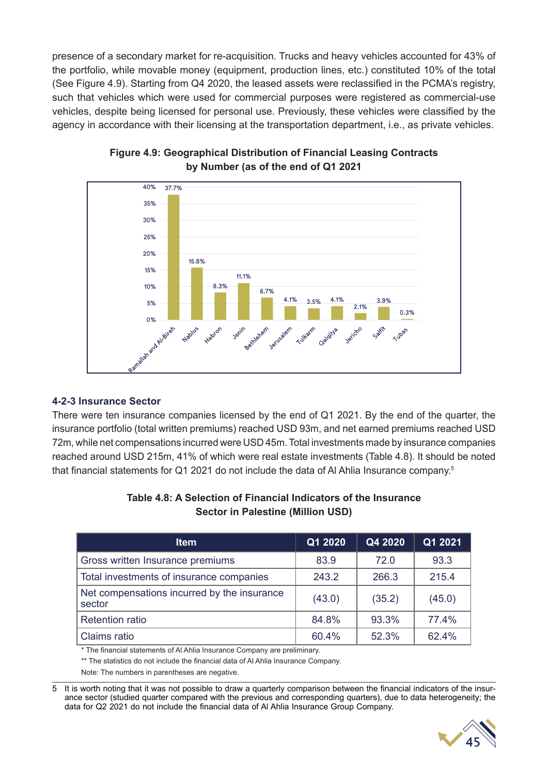presence of a secondary market for re-acquisition. Trucks and heavy vehicles accounted for 43% of the portfolio, while movable money (equipment, production lines, etc.) constituted 10% of the total (See Figure 4.9). Starting from Q4 2020, the leased assets were reclassified in the PCMA's registry, such that vehicles which were used for commercial purposes were registered as commercial-use vehicles, despite being licensed for personal use. Previously, these vehicles were classified by the agency in accordance with their licensing at the transportation department, i.e., as private vehicles.



**Figure 4.9: Geographical Distribution of Financial Leasing Contracts by Number (as of the end of Q1 2021**

#### **4-2-3 Insurance Sector**

There were ten insurance companies licensed by the end of Q1 2021. By the end of the quarter, the insurance portfolio (total written premiums) reached USD 93m, and net earned premiums reached USD 72m, while net compensations incurred were USD 45m. Total investments made by insurance companies reached around USD 215m, 41% of which were real estate investments (Table 4.8). It should be noted that financial statements for Q1 2021 do not include the data of Al Ahlia Insurance company.<sup>5</sup>

| Table 4.8: A Selection of Financial Indicators of the Insurance |  |
|-----------------------------------------------------------------|--|
| Sector in Palestine (Million USD)                               |  |

| <b>Item</b>                                           | Q1 2020 | Q4 2020 | Q1 2021 |
|-------------------------------------------------------|---------|---------|---------|
| Gross written Insurance premiums                      | 83.9    | 72.0    | 93.3    |
| Total investments of insurance companies              | 243.2   | 266.3   | 215.4   |
| Net compensations incurred by the insurance<br>sector | (43.0)  | (35.2)  | (45.0)  |
| <b>Retention ratio</b>                                | 84.8%   | 93.3%   | 77.4%   |
| Claims ratio                                          | 60.4%   | 52.3%   | 62.4%   |

\* The financial statements of Al Ahlia Insurance Company are preliminary.

\*\* The statistics do not include the financial data of Al Ahlia Insurance Company.

Note: The numbers in parentheses are negative.

5 It is worth noting that it was not possible to draw a quarterly comparison between the financial indicators of the insurance sector (studied quarter compared with the previous and corresponding quarters), due to data heterogeneity; the data for Q2 2021 do not include the financial data of Al Ahlia Insurance Group Company.

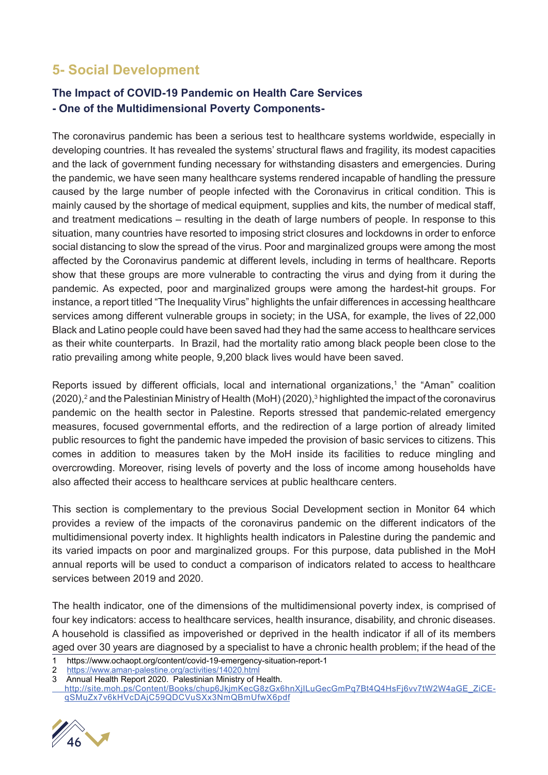## **5- Social Development**

#### **The Impact of COVID-19 Pandemic on Health Care Services - One of the Multidimensional Poverty Components-**

The coronavirus pandemic has been a serious test to healthcare systems worldwide, especially in developing countries. It has revealed the systems' structural flaws and fragility, its modest capacities and the lack of government funding necessary for withstanding disasters and emergencies. During the pandemic, we have seen many healthcare systems rendered incapable of handling the pressure caused by the large number of people infected with the Coronavirus in critical condition. This is mainly caused by the shortage of medical equipment, supplies and kits, the number of medical staff, and treatment medications – resulting in the death of large numbers of people. In response to this situation, many countries have resorted to imposing strict closures and lockdowns in order to enforce social distancing to slow the spread of the virus. Poor and marginalized groups were among the most affected by the Coronavirus pandemic at different levels, including in terms of healthcare. Reports show that these groups are more vulnerable to contracting the virus and dying from it during the pandemic. As expected, poor and marginalized groups were among the hardest-hit groups. For instance, a report titled "The Inequality Virus" highlights the unfair differences in accessing healthcare services among different vulnerable groups in society; in the USA, for example, the lives of 22,000 Black and Latino people could have been saved had they had the same access to healthcare services as their white counterparts. In Brazil, had the mortality ratio among black people been close to the ratio prevailing among white people, 9,200 black lives would have been saved.

Reports issued by different officials, local and international organizations,<sup>1</sup> the "Aman" coalition (2020), $^2$  and the Palestinian Ministry of Health (MoH) (2020), $^3$  highlighted the impact of the coronavirus pandemic on the health sector in Palestine. Reports stressed that pandemic-related emergency measures, focused governmental efforts, and the redirection of a large portion of already limited public resources to fight the pandemic have impeded the provision of basic services to citizens. This comes in addition to measures taken by the MoH inside its facilities to reduce mingling and overcrowding. Moreover, rising levels of poverty and the loss of income among households have also affected their access to healthcare services at public healthcare centers.

This section is complementary to the previous Social Development section in Monitor 64 which provides a review of the impacts of the coronavirus pandemic on the different indicators of the multidimensional poverty index. It highlights health indicators in Palestine during the pandemic and its varied impacts on poor and marginalized groups. For this purpose, data published in the MoH annual reports will be used to conduct a comparison of indicators related to access to healthcare services between 2019 and 2020.

The health indicator, one of the dimensions of the multidimensional poverty index, is comprised of four key indicators: access to healthcare services, health insurance, disability, and chronic diseases. A household is classified as impoverished or deprived in the health indicator if all of its members aged over 30 years are diagnosed by a specialist to have a chronic health problem; if the head of the

2 https://www.aman-palestine.org/activities/14020.html

 http://site.moh.ps/Content/Books/chup6JkjmKecG8zGx6hnXjILuGecGmPq7Bt4Q4HsFj6vv7tW2W4aGE\_ZiCEqSMuZx7v6kHVcDAjC59QDCVuSXx3NmQBmUfwX6pdf



<sup>1</sup> https://www.ochaopt.org/content/covid-19-emergency-situation-report-1

<sup>3</sup> Annual Health Report 2020. Palestinian Ministry of Health.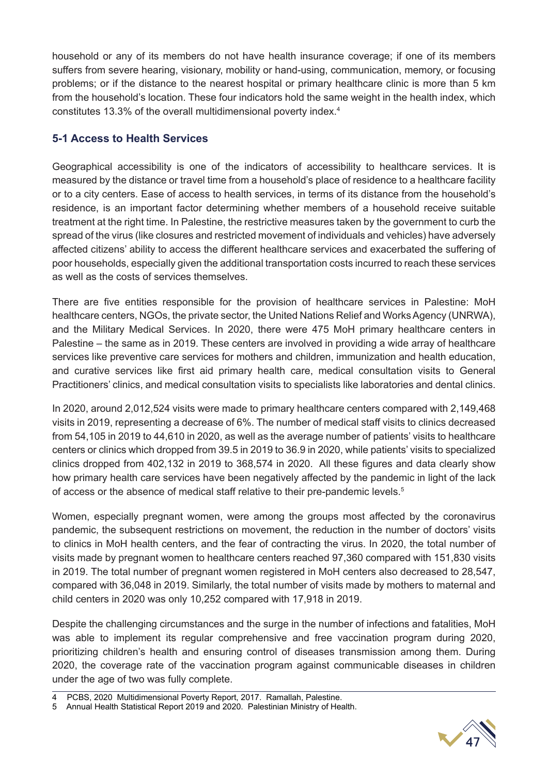household or any of its members do not have health insurance coverage; if one of its members suffers from severe hearing, visionary, mobility or hand-using, communication, memory, or focusing problems; or if the distance to the nearest hospital or primary healthcare clinic is more than 5 km from the household's location. These four indicators hold the same weight in the health index, which constitutes 13.3% of the overall multidimensional poverty index.4

#### **5-1 Access to Health Services**

Geographical accessibility is one of the indicators of accessibility to healthcare services. It is measured by the distance or travel time from a household's place of residence to a healthcare facility or to a city centers. Ease of access to health services, in terms of its distance from the household's residence, is an important factor determining whether members of a household receive suitable treatment at the right time. In Palestine, the restrictive measures taken by the government to curb the spread of the virus (like closures and restricted movement of individuals and vehicles) have adversely affected citizens' ability to access the different healthcare services and exacerbated the suffering of poor households, especially given the additional transportation costs incurred to reach these services as well as the costs of services themselves.

There are five entities responsible for the provision of healthcare services in Palestine: MoH healthcare centers, NGOs, the private sector, the United Nations Relief and Works Agency (UNRWA), and the Military Medical Services. In 2020, there were 475 MoH primary healthcare centers in Palestine – the same as in 2019. These centers are involved in providing a wide array of healthcare services like preventive care services for mothers and children, immunization and health education, and curative services like first aid primary health care, medical consultation visits to General Practitioners' clinics, and medical consultation visits to specialists like laboratories and dental clinics.

In 2020, around 2,012,524 visits were made to primary healthcare centers compared with 2,149,468 visits in 2019, representing a decrease of 6%. The number of medical staff visits to clinics decreased from 54,105 in 2019 to 44,610 in 2020, as well as the average number of patients' visits to healthcare centers or clinics which dropped from 39.5 in 2019 to 36.9 in 2020, while patients' visits to specialized clinics dropped from 402,132 in 2019 to 368,574 in 2020. All these figures and data clearly show how primary health care services have been negatively affected by the pandemic in light of the lack of access or the absence of medical staff relative to their pre-pandemic levels.<sup>5</sup>

Women, especially pregnant women, were among the groups most affected by the coronavirus pandemic, the subsequent restrictions on movement, the reduction in the number of doctors' visits to clinics in MoH health centers, and the fear of contracting the virus. In 2020, the total number of visits made by pregnant women to healthcare centers reached 97,360 compared with 151,830 visits in 2019. The total number of pregnant women registered in MoH centers also decreased to 28,547, compared with 36,048 in 2019. Similarly, the total number of visits made by mothers to maternal and child centers in 2020 was only 10,252 compared with 17,918 in 2019.

Despite the challenging circumstances and the surge in the number of infections and fatalities, MoH was able to implement its regular comprehensive and free vaccination program during 2020, prioritizing children's health and ensuring control of diseases transmission among them. During 2020, the coverage rate of the vaccination program against communicable diseases in children under the age of two was fully complete.



<sup>4</sup> PCBS, 2020 Multidimensional Poverty Report, 2017. Ramallah, Palestine.

<sup>5</sup> Annual Health Statistical Report 2019 and 2020. Palestinian Ministry of Health.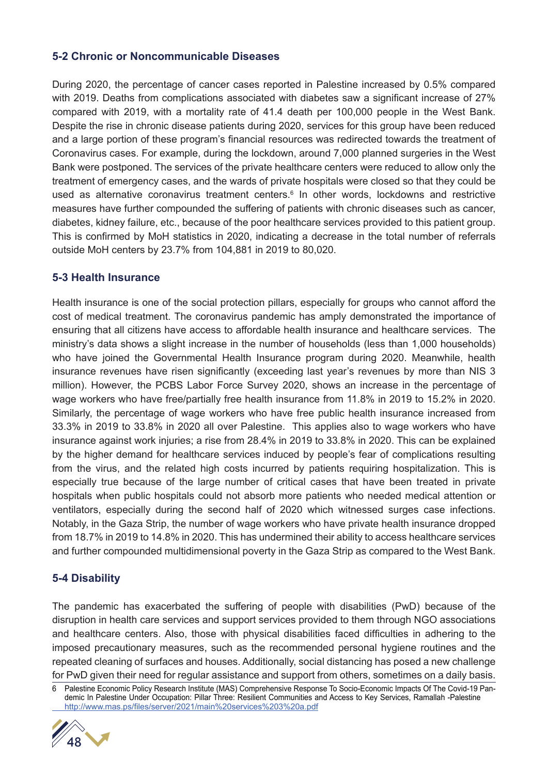#### **5-2 Chronic or Noncommunicable Diseases**

During 2020, the percentage of cancer cases reported in Palestine increased by 0.5% compared with 2019. Deaths from complications associated with diabetes saw a significant increase of 27% compared with 2019, with a mortality rate of 41.4 death per 100,000 people in the West Bank. Despite the rise in chronic disease patients during 2020, services for this group have been reduced and a large portion of these program's financial resources was redirected towards the treatment of Coronavirus cases. For example, during the lockdown, around 7,000 planned surgeries in the West Bank were postponed. The services of the private healthcare centers were reduced to allow only the treatment of emergency cases, and the wards of private hospitals were closed so that they could be used as alternative coronavirus treatment centers.<sup>6</sup> In other words, lockdowns and restrictive measures have further compounded the suffering of patients with chronic diseases such as cancer, diabetes, kidney failure, etc., because of the poor healthcare services provided to this patient group. This is confirmed by MoH statistics in 2020, indicating a decrease in the total number of referrals outside MoH centers by 23.7% from 104,881 in 2019 to 80,020.

#### **5-3 Health Insurance**

Health insurance is one of the social protection pillars, especially for groups who cannot afford the cost of medical treatment. The coronavirus pandemic has amply demonstrated the importance of ensuring that all citizens have access to affordable health insurance and healthcare services. The ministry's data shows a slight increase in the number of households (less than 1,000 households) who have joined the Governmental Health Insurance program during 2020. Meanwhile, health insurance revenues have risen significantly (exceeding last year's revenues by more than NIS 3 million). However, the PCBS Labor Force Survey 2020, shows an increase in the percentage of wage workers who have free/partially free health insurance from 11.8% in 2019 to 15.2% in 2020. Similarly, the percentage of wage workers who have free public health insurance increased from 33.3% in 2019 to 33.8% in 2020 all over Palestine. This applies also to wage workers who have insurance against work injuries; a rise from 28.4% in 2019 to 33.8% in 2020. This can be explained by the higher demand for healthcare services induced by people's fear of complications resulting from the virus, and the related high costs incurred by patients requiring hospitalization. This is especially true because of the large number of critical cases that have been treated in private hospitals when public hospitals could not absorb more patients who needed medical attention or ventilators, especially during the second half of 2020 which witnessed surges case infections. Notably, in the Gaza Strip, the number of wage workers who have private health insurance dropped from 18.7% in 2019 to 14.8% in 2020. This has undermined their ability to access healthcare services and further compounded multidimensional poverty in the Gaza Strip as compared to the West Bank.

#### **5-4 Disability**

The pandemic has exacerbated the suffering of people with disabilities (PwD) because of the disruption in health care services and support services provided to them through NGO associations and healthcare centers. Also, those with physical disabilities faced difficulties in adhering to the imposed precautionary measures, such as the recommended personal hygiene routines and the repeated cleaning of surfaces and houses. Additionally, social distancing has posed a new challenge for PwD given their need for regular assistance and support from others, sometimes on a daily basis.

<sup>6</sup> Palestine Economic Policy Research Institute (MAS) Comprehensive Response To Socio-Economic Impacts Of The Covid-19 Pandemic In Palestine Under Occupation: Pillar Three: Resilient Communities and Access to Key Services, Ramallah -Palestine http://www.mas.ps/files/server/2021/main%20services%203%20a.pdf

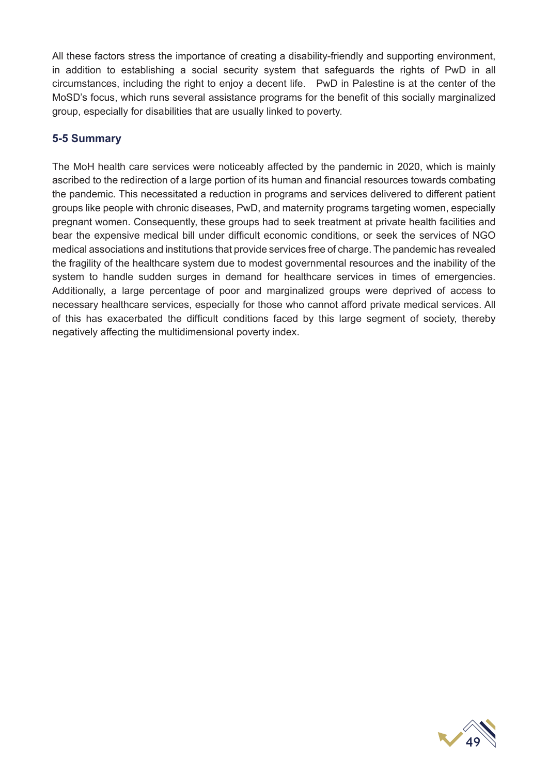All these factors stress the importance of creating a disability-friendly and supporting environment, in addition to establishing a social security system that safeguards the rights of PwD in all circumstances, including the right to enjoy a decent life. PwD in Palestine is at the center of the MoSD's focus, which runs several assistance programs for the benefit of this socially marginalized group, especially for disabilities that are usually linked to poverty.

#### **5-5 Summary**

The MoH health care services were noticeably affected by the pandemic in 2020, which is mainly ascribed to the redirection of a large portion of its human and financial resources towards combating the pandemic. This necessitated a reduction in programs and services delivered to different patient groups like people with chronic diseases, PwD, and maternity programs targeting women, especially pregnant women. Consequently, these groups had to seek treatment at private health facilities and bear the expensive medical bill under difficult economic conditions, or seek the services of NGO medical associations and institutions that provide services free of charge. The pandemic has revealed the fragility of the healthcare system due to modest governmental resources and the inability of the system to handle sudden surges in demand for healthcare services in times of emergencies. Additionally, a large percentage of poor and marginalized groups were deprived of access to necessary healthcare services, especially for those who cannot afford private medical services. All of this has exacerbated the difficult conditions faced by this large segment of society, thereby negatively affecting the multidimensional poverty index.

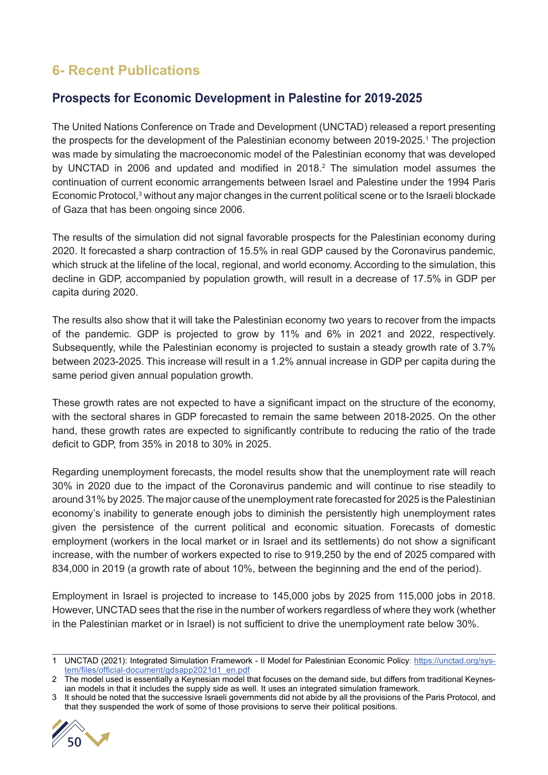## **6- Recent Publications**

#### **Prospects for Economic Development in Palestine for 2019-2025**

The United Nations Conference on Trade and Development (UNCTAD) released a report presenting the prospects for the development of the Palestinian economy between 2019-2025.<sup>1</sup> The projection was made by simulating the macroeconomic model of the Palestinian economy that was developed by UNCTAD in 2006 and updated and modified in 2018.<sup>2</sup> The simulation model assumes the continuation of current economic arrangements between Israel and Palestine under the 1994 Paris Economic Protocol,<sup>3</sup> without any major changes in the current political scene or to the Israeli blockade of Gaza that has been ongoing since 2006.

The results of the simulation did not signal favorable prospects for the Palestinian economy during 2020. It forecasted a sharp contraction of 15.5% in real GDP caused by the Coronavirus pandemic, which struck at the lifeline of the local, regional, and world economy. According to the simulation, this decline in GDP, accompanied by population growth, will result in a decrease of 17.5% in GDP per capita during 2020.

The results also show that it will take the Palestinian economy two years to recover from the impacts of the pandemic. GDP is projected to grow by 11% and 6% in 2021 and 2022, respectively. Subsequently, while the Palestinian economy is projected to sustain a steady growth rate of 3.7% between 2023-2025. This increase will result in a 1.2% annual increase in GDP per capita during the same period given annual population growth.

These growth rates are not expected to have a significant impact on the structure of the economy, with the sectoral shares in GDP forecasted to remain the same between 2018-2025. On the other hand, these growth rates are expected to significantly contribute to reducing the ratio of the trade deficit to GDP, from 35% in 2018 to 30% in 2025.

Regarding unemployment forecasts, the model results show that the unemployment rate will reach 30% in 2020 due to the impact of the Coronavirus pandemic and will continue to rise steadily to around 31% by 2025. The major cause of the unemployment rate forecasted for 2025 is the Palestinian economy's inability to generate enough jobs to diminish the persistently high unemployment rates given the persistence of the current political and economic situation. Forecasts of domestic employment (workers in the local market or in Israel and its settlements) do not show a significant increase, with the number of workers expected to rise to 919,250 by the end of 2025 compared with 834,000 in 2019 (a growth rate of about 10%, between the beginning and the end of the period).

Employment in Israel is projected to increase to 145,000 jobs by 2025 from 115,000 jobs in 2018. However, UNCTAD sees that the rise in the number of workers regardless of where they work (whether in the Palestinian market or in Israel) is not sufficient to drive the unemployment rate below 30%.

<sup>3</sup> It should be noted that the successive Israeli governments did not abide by all the provisions of the Paris Protocol, and that they suspended the work of some of those provisions to serve their political positions.



<sup>1</sup> UNCTAD (2021): Integrated Simulation Framework - II Model for Palestinian Economic Policy: https://unctad.org/system/files/official-document/gdsapp2021d1\_en.pdf

<sup>2</sup> The model used is essentially a Keynesian model that focuses on the demand side, but differs from traditional Keynesian models in that it includes the supply side as well. It uses an integrated simulation framework.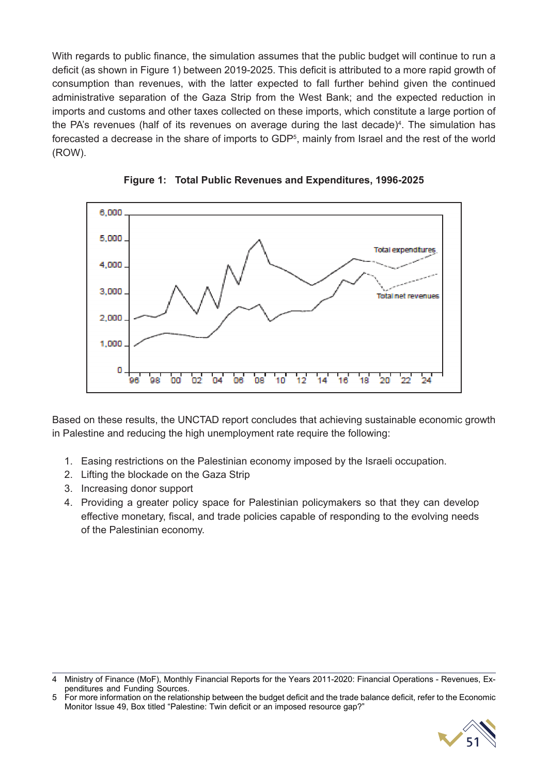With regards to public finance, the simulation assumes that the public budget will continue to run a deficit (as shown in Figure 1) between 2019-2025. This deficit is attributed to a more rapid growth of consumption than revenues, with the latter expected to fall further behind given the continued administrative separation of the Gaza Strip from the West Bank; and the expected reduction in imports and customs and other taxes collected on these imports, which constitute a large portion of the PA's revenues (half of its revenues on average during the last decade)<sup>4</sup>. The simulation has forecasted a decrease in the share of imports to GDP<sup>5</sup>, mainly from Israel and the rest of the world (ROW).



**Figure 1: Total Public Revenues and Expenditures, 1996-2025**

Based on these results, the UNCTAD report concludes that achieving sustainable economic growth in Palestine and reducing the high unemployment rate require the following:

- 1. Easing restrictions on the Palestinian economy imposed by the Israeli occupation.
- 2. Lifting the blockade on the Gaza Strip
- 3. Increasing donor support
- 4. Providing a greater policy space for Palestinian policymakers so that they can develop effective monetary, fiscal, and trade policies capable of responding to the evolving needs of the Palestinian economy.

<sup>5</sup> For more information on the relationship between the budget deficit and the trade balance deficit, refer to the Economic Monitor Issue 49, Box titled "Palestine: Twin deficit or an imposed resource gap?"



<sup>4</sup> Ministry of Finance (MoF), Monthly Financial Reports for the Years 2011-2020: Financial Operations - Revenues, Expenditures and Funding Sources.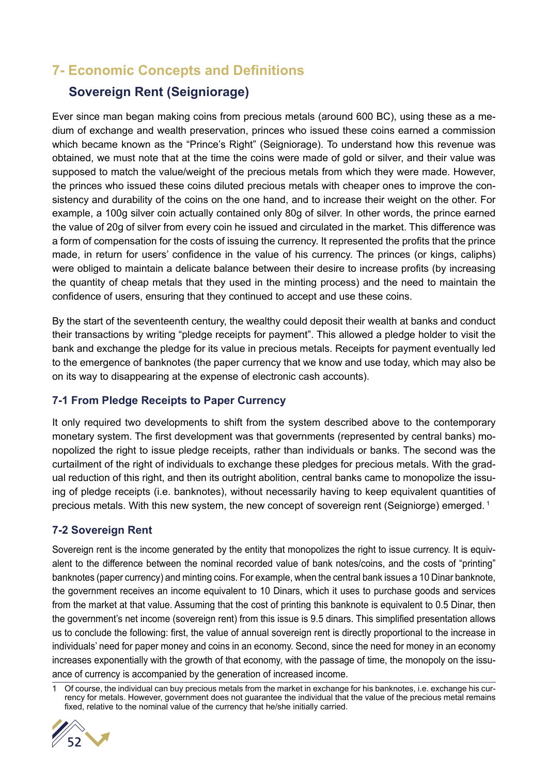### **7- Economic Concepts and Definitions**

#### **Sovereign Rent (Seigniorage)**

Ever since man began making coins from precious metals (around 600 BC), using these as a medium of exchange and wealth preservation, princes who issued these coins earned a commission which became known as the "Prince's Right" (Seigniorage). To understand how this revenue was obtained, we must note that at the time the coins were made of gold or silver, and their value was supposed to match the value/weight of the precious metals from which they were made. However, the princes who issued these coins diluted precious metals with cheaper ones to improve the consistency and durability of the coins on the one hand, and to increase their weight on the other. For example, a 100g silver coin actually contained only 80g of silver. In other words, the prince earned the value of 20g of silver from every coin he issued and circulated in the market. This difference was a form of compensation for the costs of issuing the currency. It represented the profits that the prince made, in return for users' confidence in the value of his currency. The princes (or kings, caliphs) were obliged to maintain a delicate balance between their desire to increase profits (by increasing the quantity of cheap metals that they used in the minting process) and the need to maintain the confidence of users, ensuring that they continued to accept and use these coins.

By the start of the seventeenth century, the wealthy could deposit their wealth at banks and conduct their transactions by writing "pledge receipts for payment". This allowed a pledge holder to visit the bank and exchange the pledge for its value in precious metals. Receipts for payment eventually led to the emergence of banknotes (the paper currency that we know and use today, which may also be on its way to disappearing at the expense of electronic cash accounts).

#### **7-1 From Pledge Receipts to Paper Currency**

It only required two developments to shift from the system described above to the contemporary monetary system. The first development was that governments (represented by central banks) monopolized the right to issue pledge receipts, rather than individuals or banks. The second was the curtailment of the right of individuals to exchange these pledges for precious metals. With the gradual reduction of this right, and then its outright abolition, central banks came to monopolize the issuing of pledge receipts (i.e. banknotes), without necessarily having to keep equivalent quantities of precious metals. With this new system, the new concept of sovereign rent (Seigniorge) emerged. 1

#### **7-2 Sovereign Rent**

Sovereign rent is the income generated by the entity that monopolizes the right to issue currency. It is equivalent to the difference between the nominal recorded value of bank notes/coins, and the costs of "printing" banknotes (paper currency) and minting coins. For example, when the central bank issues a 10 Dinar banknote, the government receives an income equivalent to 10 Dinars, which it uses to purchase goods and services from the market at that value. Assuming that the cost of printing this banknote is equivalent to 0.5 Dinar, then the government's net income (sovereign rent) from this issue is 9.5 dinars. This simplified presentation allows us to conclude the following: first, the value of annual sovereign rent is directly proportional to the increase in individuals' need for paper money and coins in an economy. Second, since the need for money in an economy increases exponentially with the growth of that economy, with the passage of time, the monopoly on the issuance of currency is accompanied by the generation of increased income.

<sup>1</sup> Of course, the individual can buy precious metals from the market in exchange for his banknotes, i.e. exchange his currency for metals. However, government does not guarantee the individual that the value of the precious metal remains fixed, relative to the nominal value of the currency that he/she initially carried.

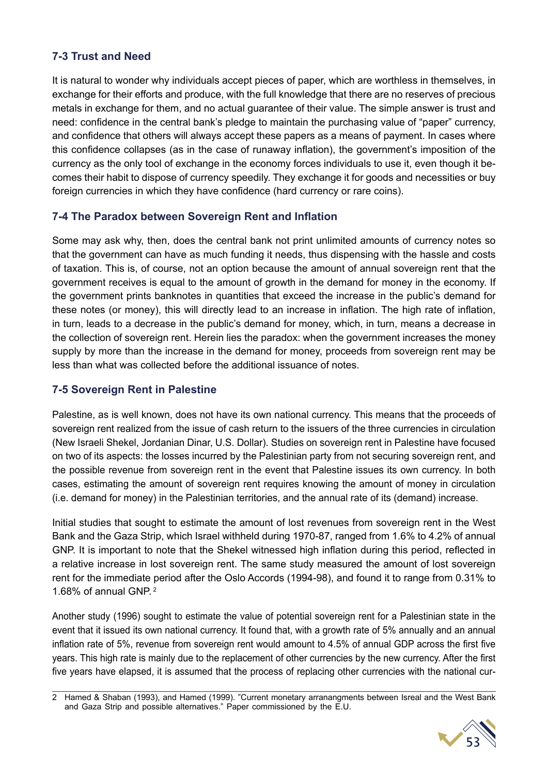#### **7-3 Trust and Need**

It is natural to wonder why individuals accept pieces of paper, which are worthless in themselves, in exchange for their efforts and produce, with the full knowledge that there are no reserves of precious metals in exchange for them, and no actual guarantee of their value. The simple answer is trust and need: confidence in the central bank's pledge to maintain the purchasing value of "paper" currency, and confidence that others will always accept these papers as a means of payment. In cases where this confidence collapses (as in the case of runaway inflation), the government's imposition of the currency as the only tool of exchange in the economy forces individuals to use it, even though it becomes their habit to dispose of currency speedily. They exchange it for goods and necessities or buy foreign currencies in which they have confidence (hard currency or rare coins).

#### **7-4 The Paradox between Sovereign Rent and Inflation**

Some may ask why, then, does the central bank not print unlimited amounts of currency notes so that the government can have as much funding it needs, thus dispensing with the hassle and costs of taxation. This is, of course, not an option because the amount of annual sovereign rent that the government receives is equal to the amount of growth in the demand for money in the economy. If the government prints banknotes in quantities that exceed the increase in the public's demand for these notes (or money), this will directly lead to an increase in inflation. The high rate of inflation, in turn, leads to a decrease in the public's demand for money, which, in turn, means a decrease in the collection of sovereign rent. Herein lies the paradox: when the government increases the money supply by more than the increase in the demand for money, proceeds from sovereign rent may be less than what was collected before the additional issuance of notes.

#### **7-5 Sovereign Rent in Palestine**

Palestine, as is well known, does not have its own national currency. This means that the proceeds of sovereign rent realized from the issue of cash return to the issuers of the three currencies in circulation (New Israeli Shekel, Jordanian Dinar, U.S. Dollar). Studies on sovereign rent in Palestine have focused on two of its aspects: the losses incurred by the Palestinian party from not securing sovereign rent, and the possible revenue from sovereign rent in the event that Palestine issues its own currency. In both cases, estimating the amount of sovereign rent requires knowing the amount of money in circulation (i.e. demand for money) in the Palestinian territories, and the annual rate of its (demand) increase.

Initial studies that sought to estimate the amount of lost revenues from sovereign rent in the West Bank and the Gaza Strip, which Israel withheld during 1970-87, ranged from 1.6% to 4.2% of annual GNP. It is important to note that the Shekel witnessed high inflation during this period, reflected in a relative increase in lost sovereign rent. The same study measured the amount of lost sovereign rent for the immediate period after the Oslo Accords (1994-98), and found it to range from 0.31% to 1.68% of annual GNP. 2

Another study (1996) sought to estimate the value of potential sovereign rent for a Palestinian state in the event that it issued its own national currency. It found that, with a growth rate of 5% annually and an annual inflation rate of 5%, revenue from sovereign rent would amount to 4.5% of annual GDP across the first five years. This high rate is mainly due to the replacement of other currencies by the new currency. After the first five years have elapsed, it is assumed that the process of replacing other currencies with the national cur-

<sup>2</sup> Hamed & Shaban (1993), and Hamed (1999). "Current monetary arranangments between Isreal and the West Bank and Gaza Strip and possible alternatives." Paper commissioned by the E.U.

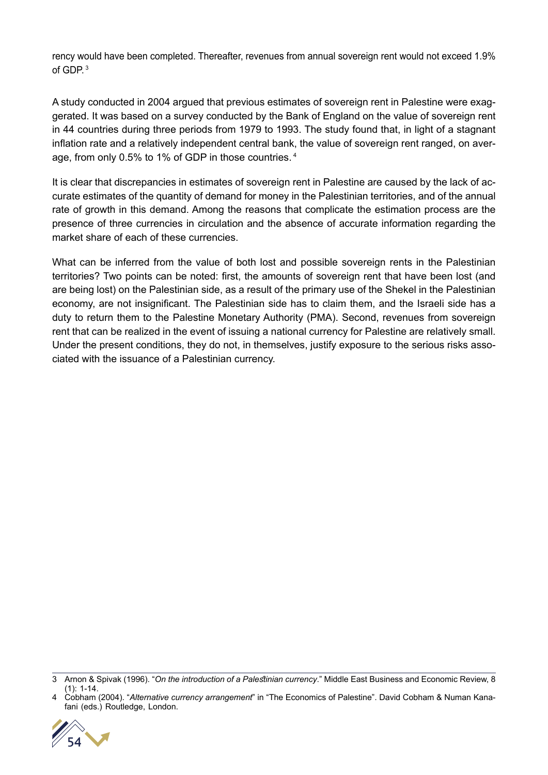rency would have been completed. Thereafter, revenues from annual sovereign rent would not exceed 1.9% of  $GDP<sup>3</sup>$ 

A study conducted in 2004 argued that previous estimates of sovereign rent in Palestine were exaggerated. It was based on a survey conducted by the Bank of England on the value of sovereign rent in 44 countries during three periods from 1979 to 1993. The study found that, in light of a stagnant inflation rate and a relatively independent central bank, the value of sovereign rent ranged, on average, from only 0.5% to 1% of GDP in those countries. 4

It is clear that discrepancies in estimates of sovereign rent in Palestine are caused by the lack of accurate estimates of the quantity of demand for money in the Palestinian territories, and of the annual rate of growth in this demand. Among the reasons that complicate the estimation process are the presence of three currencies in circulation and the absence of accurate information regarding the market share of each of these currencies.

What can be inferred from the value of both lost and possible sovereign rents in the Palestinian territories? Two points can be noted: first, the amounts of sovereign rent that have been lost (and are being lost) on the Palestinian side, as a result of the primary use of the Shekel in the Palestinian economy, are not insignificant. The Palestinian side has to claim them, and the Israeli side has a duty to return them to the Palestine Monetary Authority (PMA). Second, revenues from sovereign rent that can be realized in the event of issuing a national currency for Palestine are relatively small. Under the present conditions, they do not, in themselves, justify exposure to the serious risks associated with the issuance of a Palestinian currency.

<sup>4</sup> Cobham (2004). "*Alternative currency arrangement*" in "The Economics of Palestine". David Cobham & Numan Kanafani (eds.) Routledge, London.



<sup>3</sup> Arnon & Spivak (1996). "*On the introduction of a Palestinian currency*." Middle East Business and Economic Review, 8 (1): 1-14.